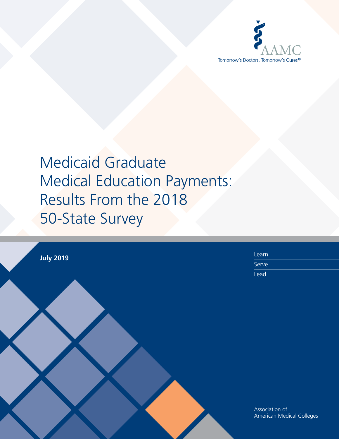

|                  | Learn                     |
|------------------|---------------------------|
| <b>July 2019</b> | Serve                     |
|                  | Lead                      |
|                  |                           |
|                  |                           |
|                  |                           |
|                  |                           |
|                  |                           |
|                  |                           |
|                  |                           |
|                  |                           |
|                  |                           |
|                  |                           |
|                  |                           |
|                  | Association of            |
|                  |                           |
|                  |                           |
|                  | American Medical Colleges |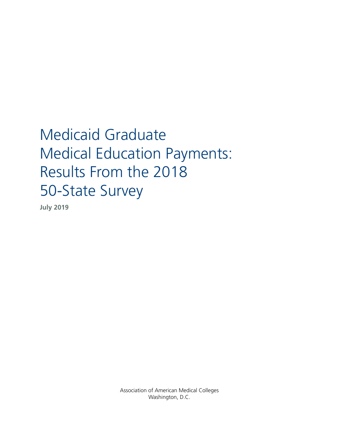**July 2019**

Association of American Medical Colleges Washington, D.C.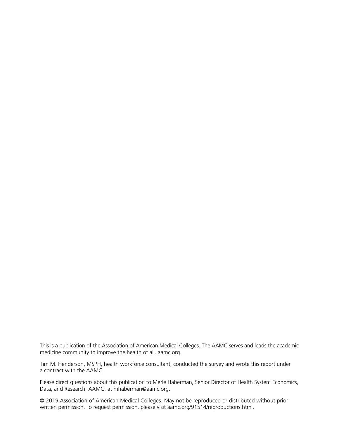This is a publication of the Association of American Medical Colleges. The AAMC serves and leads the academic medicine community to improve the health of all. [aamc.org](http://aamc.org).

Tim M. Henderson, MSPH, health workforce consultant, conducted the survey and wrote this report under a contract with the AAMC.

Please direct questions about this publication to Merle Haberman, Senior Director of Health System Economics, Data, and Research, AAMC, at [mhaberman@aamc.org.](mailto:mhaberman%40aamc.org?subject=)

© 2019 Association of American Medical Colleges. May not be reproduced or distributed without prior written permission. To request permission, please visit [aamc.org/91514/reproductions.html.](http://aamc.org/91514/reproductions.html)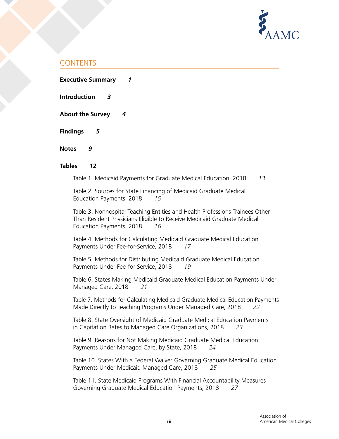

# CONTENTS

**Executive Summary** *1*

**Introduction** *3*

**About the Survey** *4*

**Findings** *5*

**Notes** *9*

# **Tables** *12*

Table 1. Medicaid Payments for Graduate Medical Education, 2018 *13*

Table 2. Sources for State Financing of Medicaid Graduate Medical Education Payments, 2018 *15*

Table 3. Nonhospital Teaching Entities and Health Professions Trainees Other Than Resident Physicians Eligible to Receive Medicaid Graduate Medical Education Payments, 2018 *16*

Table 4. Methods for Calculating Medicaid Graduate Medical Education Payments Under Fee-for-Service, 2018 *17*

Table 5. Methods for Distributing Medicaid Graduate Medical Education Payments Under Fee-for-Service, 2018 *19*

Table 6. States Making Medicaid Graduate Medical Education Payments Under Managed Care, 2018 *21*

Table 7. Methods for Calculating Medicaid Graduate Medical Education Payments Made Directly to Teaching Programs Under Managed Care, 2018 *22*

Table 8. State Oversight of Medicaid Graduate Medical Education Payments in Capitation Rates to Managed Care Organizations, 2018 *23*

Table 9. Reasons for Not Making Medicaid Graduate Medical Education Payments Under Managed Care, by State, 2018 *24*

Table 10. States With a Federal Waiver Governing Graduate Medical Education Payments Under Medicaid Managed Care, 2018 *25*

Table 11. State Medicaid Programs With Financial Accountability Measures Governing Graduate Medical Education Payments, 2018 *27*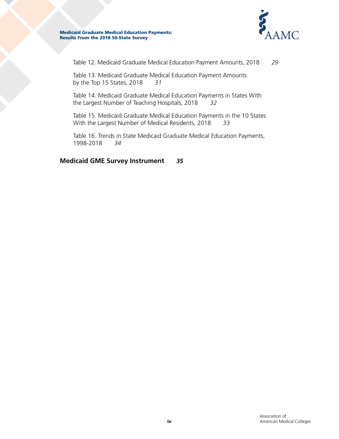

Table 12. Medicaid Graduate Medical Education Payment Amounts, 2018 *29*

Table 13. Medicaid Graduate Medical Education Payment Amounts by the Top 15 States, 2018 *31*

Table 14. Medicaid Graduate Medical Education Payments in States With the Largest Number of Teaching Hospitals, 2018 *32*

Table 15. Medicaid Graduate Medical Education Payments in the 10 States With the Largest Number of Medical Residents, 2018 *33*

Table 16. Trends in State Medicaid Graduate Medical Education Payments, 1998-2018 *34*

**Medicaid GME Survey Instrument** *35*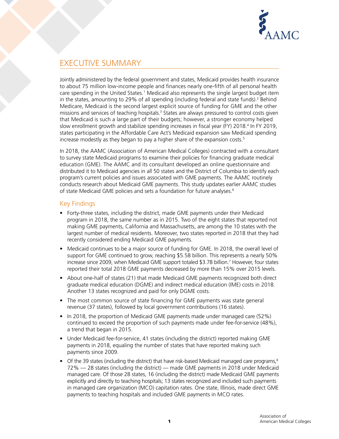

# EXECUTIVE SUMMARY

Jointly administered by the federal government and states, Medicaid provides health insurance to about 75 million low-income people and finances nearly one-fifth of all personal health care spending in the United States.<sup>1</sup> Medicaid also represents the single largest budget item in the states, amounting to 29% of all spending (including federal and state funds).<sup>2</sup> Behind Medicare, Medicaid is the second largest explicit source of funding for GME and the other missions and services of teaching hospitals.<sup>3</sup> States are always pressured to control costs given that Medicaid is such a large part of their budgets; however, a stronger economy helped slow enrollment growth and stabilize spending increases in fiscal year (FY) 2018.<sup>4</sup> In FY 2019, states participating in the Affordable Care Act's Medicaid expansion saw Medicaid spending increase modestly as they began to pay a higher share of the expansion costs.<sup>5</sup>

In 2018, the AAMC (Association of American Medical Colleges) contracted with a consultant to survey state Medicaid programs to examine their policies for financing graduate medical education (GME). The AAMC and its consultant developed an online questionnaire and distributed it to Medicaid agencies in all 50 states and the District of Columbia to identify each program's current policies and issues associated with GME payments. The AAMC routinely conducts research about Medicaid GME payments. This study updates earlier AAMC studies of state Medicaid GME policies and sets a foundation for future analyses.<sup>6</sup>

# Key Findings

- Forty-three states, including the district, made GME payments under their Medicaid program in 2018, the same number as in 2015. Two of the eight states that reported not making GME payments, California and Massachusetts, are among the 10 states with the largest number of medical residents. Moreover, two states reported in 2018 that they had recently considered ending Medicaid GME payments.
- Medicaid continues to be a major source of funding for GME. In 2018, the overall level of support for GME continued to grow, reaching \$5.58 billion. This represents a nearly 50% increase since 2009, when Medicaid GME support totaled \$3.78 billion.7 However, four states reported their total 2018 GME payments decreased by more than 15% over 2015 levels.
- About one-half of states (21) that made Medicaid GME payments recognized both direct graduate medical education (DGME) and indirect medical education (IME) costs in 2018. Another 13 states recognized and paid for only DGME costs.
- The most common source of state financing for GME payments was state general revenue (37 states), followed by local government contributions (16 states).
- In 2018, the proportion of Medicaid GME payments made under managed care (52%) continued to exceed the proportion of such payments made under fee-for-service (48%), a trend that began in 2015.
- Under Medicaid fee-for-service, 41 states (including the district) reported making GME payments in 2018, equaling the number of states that have reported making such payments since 2009.
- Of the 39 states (including the district) that have risk-based Medicaid managed care programs, $8$ 72% — 28 states (including the district) — made GME payments in 2018 under Medicaid managed care. Of those 28 states, 16 (including the district) made Medicaid GME payments explicitly and directly to teaching hospitals; 13 states recognized and included such payments in managed care organization (MCO) capitation rates. One state, Illinois, made direct GME payments to teaching hospitals and included GME payments in MCO rates.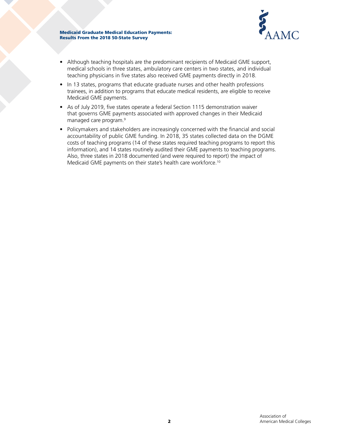

- Although teaching hospitals are the predominant recipients of Medicaid GME support, medical schools in three states, ambulatory care centers in two states, and individual teaching physicians in five states also received GME payments directly in 2018.
- In 13 states, programs that educate graduate nurses and other health professions trainees, in addition to programs that educate medical residents, are eligible to receive Medicaid GME payments.
- As of July 2019, five states operate a federal Section 1115 demonstration waiver that governs GME payments associated with approved changes in their Medicaid managed care program.9
- Policymakers and stakeholders are increasingly concerned with the financial and social accountability of public GME funding. In 2018, 35 states collected data on the DGME costs of teaching programs (14 of these states required teaching programs to report this information), and 14 states routinely audited their GME payments to teaching programs. Also, three states in 2018 documented (and were required to report) the impact of Medicaid GME payments on their state's health care workforce.<sup>10</sup>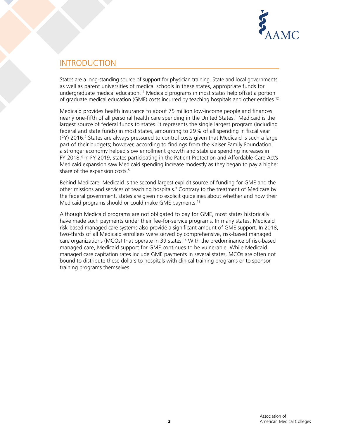

# INTRODUCTION

States are a long-standing source of support for physician training. State and local governments, as well as parent universities of medical schools in these states, appropriate funds for undergraduate medical education.11 Medicaid programs in most states help offset a portion of graduate medical education (GME) costs incurred by teaching hospitals and other entities.12

Medicaid provides health insurance to about 75 million low-income people and finances nearly one-fifth of all personal health care spending in the United States.1 Medicaid is the largest source of federal funds to states. It represents the single largest program (including federal and state funds) in most states, amounting to 29% of all spending in fiscal year  $(FY)$  2016.<sup>2</sup> States are always pressured to control costs given that Medicaid is such a large part of their budgets; however, according to findings from the Kaiser Family Foundation, a stronger economy helped slow enrollment growth and stabilize spending increases in FY 2018.<sup>4</sup> In FY 2019, states participating in the Patient Protection and Affordable Care Act's Medicaid expansion saw Medicaid spending increase modestly as they began to pay a higher share of the expansion costs.<sup>5</sup>

Behind Medicare, Medicaid is the second largest explicit source of funding for GME and the other missions and services of teaching hospitals.<sup>3</sup> Contrary to the treatment of Medicare by the federal government, states are given no explicit guidelines about whether and how their Medicaid programs should or could make GME payments.13

Although Medicaid programs are not obligated to pay for GME, most states historically have made such payments under their fee-for-service programs. In many states, Medicaid risk-based managed care systems also provide a significant amount of GME support. In 2018, two-thirds of all Medicaid enrollees were served by comprehensive, risk-based managed care organizations (MCOs) that operate in 39 states.<sup>14</sup> With the predominance of risk-based managed care, Medicaid support for GME continues to be vulnerable. While Medicaid managed care capitation rates include GME payments in several states, MCOs are often not bound to distribute these dollars to hospitals with clinical training programs or to sponsor training programs themselves.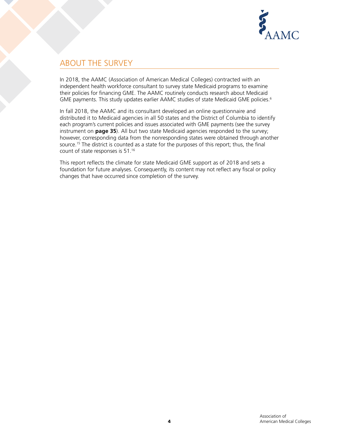

# ABOUT THE SURVEY

In 2018, the AAMC (Association of American Medical Colleges) contracted with an independent health workforce consultant to survey state Medicaid programs to examine their policies for financing GME. The AAMC routinely conducts research about Medicaid GME payments. This study updates earlier AAMC studies of state Medicaid GME policies.<sup>6</sup>

In fall 2018, the AAMC and its consultant developed an online questionnaire and distributed it to Medicaid agencies in all 50 states and the District of Columbia to identify each program's current policies and issues associated with GME payments (see the survey instrument on **page 35**). All but two state Medicaid agencies responded to the survey; however, corresponding data from the nonresponding states were obtained through another source.<sup>15</sup> The district is counted as a state for the purposes of this report; thus, the final count of state responses is 51.16

This report reflects the climate for state Medicaid GME support as of 2018 and sets a foundation for future analyses. Consequently, its content may not reflect any fiscal or policy changes that have occurred since completion of the survey.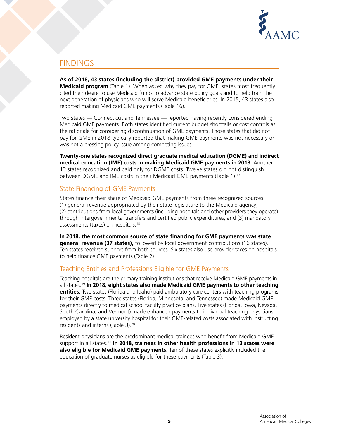

# FINDINGS

**As of 2018, 43 states (including the district) provided GME payments under their Medicaid program** (Table 1). When asked why they pay for GME, states most frequently cited their desire to use Medicaid funds to advance state policy goals and to help train the next generation of physicians who will serve Medicaid beneficiaries. In 2015, 43 states also reported making Medicaid GME payments (Table 16).

Two states — Connecticut and Tennessee — reported having recently considered ending Medicaid GME payments. Both states identified current budget shortfalls or cost controls as the rationale for considering discontinuation of GME payments. Those states that did not pay for GME in 2018 typically reported that making GME payments was not necessary or was not a pressing policy issue among competing issues.

**Twenty-one states recognized direct graduate medical education (DGME) and indirect medical education (IME) costs in making Medicaid GME payments in 2018.** Another 13 states recognized and paid only for DGME costs. Twelve states did not distinguish between DGME and IME costs in their Medicaid GME payments (Table 1).<sup>17</sup>

# State Financing of GME Payments

States finance their share of Medicaid GME payments from three recognized sources: (1) general revenue appropriated by their state legislature to the Medicaid agency; (2) contributions from local governments (including hospitals and other providers they operate) through intergovernmental transfers and certified public expenditures; and (3) mandatory assessments (taxes) on hospitals.18

**In 2018, the most common source of state financing for GME payments was state general revenue (37 states),** followed by local government contributions (16 states). Ten states received support from both sources. Six states also use provider taxes on hospitals to help finance GME payments (Table 2).

# Teaching Entities and Professions Eligible for GME Payments

Teaching hospitals are the primary training institutions that receive Medicaid GME payments in all states.19 **In 2018, eight states also made Medicaid GME payments to other teaching entities.** Two states (Florida and Idaho) paid ambulatory care centers with teaching programs for their GME costs. Three states (Florida, Minnesota, and Tennessee) made Medicaid GME payments directly to medical school faculty practice plans. Five states (Florida, Iowa, Nevada, South Carolina, and Vermont) made enhanced payments to individual teaching physicians employed by a state university hospital for their GME-related costs associated with instructing residents and interns (Table 3).20

Resident physicians are the predominant medical trainees who benefit from Medicaid GME support in all states.21 **In 2018, trainees in other health professions in 13 states were also eligible for Medicaid GME payments.** Ten of these states explicitly included the education of graduate nurses as eligible for these payments (Table 3).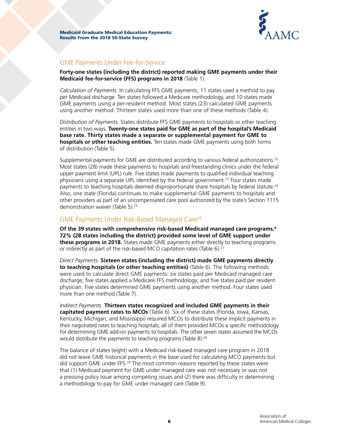

# GME Payments Under Fee-for-Service

**Forty-one states (including the district) reported making GME payments under their Medicaid fee-for-service (FFS) programs in 2018** (Table 1).

*Calculation of Payments.* In calculating FFS GME payments, 11 states used a method to pay per Medicaid discharge. Ten states followed a Medicare methodology, and 10 states made GME payments using a per-resident method. Most states (23) calculated GME payments using another method. Thirteen states used more than one of these methods (Table 4).

*Distribution of Payments.* States distribute FFS GME payments to hospitals or other teaching entities in two ways. **Twenty-one states paid for GME as part of the hospital's Medicaid base rate. Thirty states made a separate or supplemental payment for GME to hospitals or other teaching entities.** Ten states made GME payments using both forms of distribution (Table 5).

Supplemental payments for GME are distributed according to various federal authorizations.<sup>22</sup> Most states (28) made these payments to hospitals and freestanding clinics under the federal upper payment limit (UPL) rule. Five states made payments to qualified individual teaching physicians using a separate UPL identified by the federal government.<sup>23</sup> Four states made payments to teaching hospitals deemed disproportionate share hospitals by federal statute.<sup>24</sup> Also, one state (Florida) continues to make supplemental GME payments to hospitals and other providers as part of an uncompensated care pool authorized by the state's Section 1115 demonstration waiver (Table 5).<sup>25</sup>

# GME Payments Under Risk-Based Managed Care26

**Of the 39 states with comprehensive risk-based Medicaid managed care programs,8 72% (28 states including the district) provided some level of GME support under these programs in 2018.** States made GME payments either directly to teaching programs or indirectly as part of the risk-based MCO capitation rates (Table 6).27

*Direct Payments.* **Sixteen states (including the district) made GME payments directly to teaching hospitals (or other teaching entities)** (Table 6). The following methods were used to calculate direct GME payments: six states paid per Medicaid managed care discharge; five states applied a Medicare FFS methodology; and five states paid per resident physician. Five states determined GME payments using another method. Four states used more than one method (Table 7).

*Indirect Payments.* **Thirteen states recognized and included GME payments in their capitated payment rates to MCOs** (Table 6). Six of these states (Florida, Iowa, Kansas, Kentucky, Michigan, and Mississippi) required MCOs to distribute these implicit payments in their negotiated rates to teaching hospitals; all of them provided MCOs a specific methodology for determining GME add-on payments to hospitals. The other seven states assumed the MCOs would distribute the payments to teaching programs (Table 8).<sup>28</sup>

The balance of states (eight) with a Medicaid risk-based managed care program in 2018 did not leave GME historical payments in the base used for calculating MCO payments but did support GME under FFS.<sup>29</sup> The most common reasons reported by these states were that (1) Medicaid payment for GME under managed care was not necessary or was not a pressing policy issue among competing issues and (2) there was difficulty in determining a methodology to pay for GME under managed care (Table 9).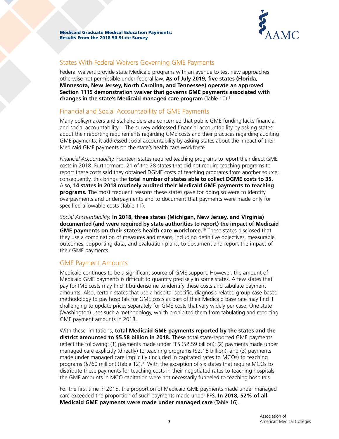

# States With Federal Waivers Governing GME Payments

Federal waivers provide state Medicaid programs with an avenue to test new approaches otherwise not permissible under federal law. **As of July 2019, five states (Florida, Minnesota, New Jersey, North Carolina, and Tennessee) operate an approved Section 1115 demonstration waiver that governs GME payments associated with changes in the state's Medicaid managed care program** (Table 10).9

# Financial and Social Accountability of GME Payments

Many policymakers and stakeholders are concerned that public GME funding lacks financial and social accountability.<sup>30</sup> The survey addressed financial accountability by asking states about their reporting requirements regarding GME costs and their practices regarding auditing GME payments; it addressed social accountability by asking states about the impact of their Medicaid GME payments on the state's health care workforce.

*Financial Accountability.* Fourteen states required teaching programs to report their direct GME costs in 2018. Furthermore, 21 of the 28 states that did not require teaching programs to report these costs said they obtained DGME costs of teaching programs from another source; consequently, this brings the **total number of states able to collect DGME costs to 35.** Also, **14 states in 2018 routinely audited their Medicaid GME payments to teaching programs.** The most frequent reasons these states gave for doing so were to identify overpayments and underpayments and to document that payments were made only for specified allowable costs (Table 11).

*Social Accountability.* **In 2018, three states (Michigan, New Jersey, and Virginia) documented (and were required by state authorities to report) the impact of Medicaid GME payments on their state's health care workforce.**10 These states disclosed that they use a combination of measures and means, including definitive objectives, measurable outcomes, supporting data, and evaluation plans, to document and report the impact of their GME payments.

# GME Payment Amounts

Medicaid continues to be a significant source of GME support. However, the amount of Medicaid GME payments is difficult to quantify precisely in some states. A few states that pay for IME costs may find it burdensome to identify these costs and tabulate payment amounts. Also, certain states that use a hospital-specific, diagnosis-related group case-based methodology to pay hospitals for GME costs as part of their Medicaid base rate may find it challenging to update prices separately for GME costs that vary widely per case. One state (Washington) uses such a methodology, which prohibited them from tabulating and reporting GME payment amounts in 2018.

With these limitations, **total Medicaid GME payments reported by the states and the district amounted to \$5.58 billion in 2018.** These total state-reported GME payments reflect the following: (1) payments made under FFS (\$2.59 billion); (2) payments made under managed care explicitly (directly) to teaching programs (\$2.15 billion); and (3) payments made under managed care implicitly (included in capitated rates to MCOs) to teaching programs (\$760 million) (Table 12).<sup>31</sup> With the exception of six states that require MCOs to distribute these payments for teaching costs in their negotiated rates to teaching hospitals, the GME amounts in MCO capitation were not necessarily funneled to teaching hospitals.

For the first time in 2015, the proportion of Medicaid GME payments made under managed care exceeded the proportion of such payments made under FFS. **In 2018, 52% of all Medicaid GME payments were made under managed care** (Table 16).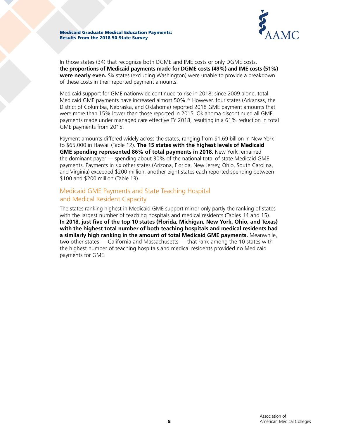

In those states (34) that recognize both DGME and IME costs or only DGME costs, **the proportions of Medicaid payments made for DGME costs (49%) and IME costs (51%) were nearly even.** Six states (excluding Washington) were unable to provide a breakdown of these costs in their reported payment amounts.

Medicaid support for GME nationwide continued to rise in 2018; since 2009 alone, total Medicaid GME payments have increased almost 50%.<sup>32</sup> However, four states (Arkansas, the District of Columbia, Nebraska, and Oklahoma) reported 2018 GME payment amounts that were more than 15% lower than those reported in 2015. Oklahoma discontinued all GME payments made under managed care effective FY 2018, resulting in a 61% reduction in total GME payments from 2015.

Payment amounts differed widely across the states, ranging from \$1.69 billion in New York to \$65,000 in Hawaii (Table 12). **The 15 states with the highest levels of Medicaid GME spending represented 86% of total payments in 2018.** New York remained the dominant payer — spending about 30% of the national total of state Medicaid GME payments. Payments in six other states (Arizona, Florida, New Jersey, Ohio, South Carolina, and Virginia) exceeded \$200 million; another eight states each reported spending between \$100 and \$200 million (Table 13).

# Medicaid GME Payments and State Teaching Hospital and Medical Resident Capacity

The states ranking highest in Medicaid GME support mirror only partly the ranking of states with the largest number of teaching hospitals and medical residents (Tables 14 and 15). **In 2018, just five of the top 10 states (Florida, Michigan, New York, Ohio, and Texas) with the highest total number of both teaching hospitals and medical residents had a similarly high ranking in the amount of total Medicaid GME payments.** Meanwhile, two other states — California and Massachusetts — that rank among the 10 states with the highest number of teaching hospitals and medical residents provided no Medicaid payments for GME.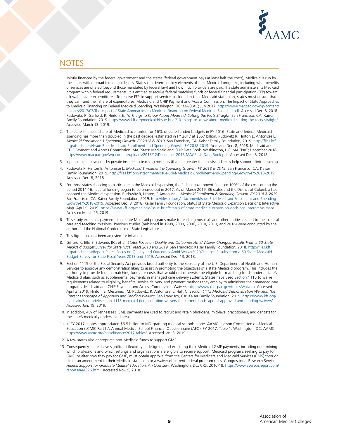

# **NOTES**

- 1. Jointly financed by the federal government and the states (federal government pays at least half the costs), Medicaid is run by the states within broad federal guidelines. States can determine key elements of their Medicaid programs, including what benefits or services are offered (beyond those mandated by federal law) and how much providers are paid. If a state administers its Medicaid program within federal requirements, it is entitled to receive federal matching funds or federal financial participation (FFP) toward allowable state expenditures. To receive FFP to support services included in their Medicaid state plan, states must ensure that they can fund their share of expenditures. Medicaid and CHIP Payment and Access Commission. The Impact of State Approaches to Medicaid Financing on Federal Medicaid Spending. Washington, DC: MACPAC; July 2017. [https://www.macpac.gov/wp-content/](https://www.macpac.gov/wp-content/uploads/2017/07/The-Impact-of-State-Approaches-to-Medicaid-Financing-on-Federal-Medicaid-Spending.pdf) [uploads/2017/07/The-Impact-of-State-Approaches-to-Medicaid-Financing-on-Federal-Medicaid-Spending.pdf.](https://www.macpac.gov/wp-content/uploads/2017/07/The-Impact-of-State-Approaches-to-Medicaid-Financing-on-Federal-Medicaid-Spending.pdf) Accessed Dec. 8, 2018. Rudowitz, R, Garfield, R, Hinton, E. *10 Things to Know About Medicaid: Setting the Facts Straight.* San Francisco, CA: Kaiser Family Foundation; 2019. [https://www.kff.org/medicaid/issue-brief/10-things-to-know-about-medicaid-setting-the-facts-straight/.](https://www.kff.org/medicaid/issue-brief/10-things-to-know-about-medicaid-setting-the-facts-straight) Accessed March 13, 2019.
- 2. The state-financed share of Medicaid accounted for 16% of state-funded budgets in FY 2016. State and federal Medicaid spending has more than doubled in the past decade, estimated in FY 2017 at \$557 billion. Rudowitz R, Hinton E, Antonisse L. *Medicaid Enrollment & Spending Growth: FY 2018 & 2019.* San Francisco, CA: Kaiser Family Foundation; 2019. [http://files.kff.](http://files.kff.org/attachment/Issue-Brief-Medicaid-Enrollment-and-Spending-Growth-FY-2018-2019) [org/attachment/Issue-Brief-Medicaid-Enrollment-and-Spending-Growth-FY-2018-2019](http://files.kff.org/attachment/Issue-Brief-Medicaid-Enrollment-and-Spending-Growth-FY-2018-2019). Accessed Dec. 8, 2018. Medicaid and CHIP Payment and Access Commission. MACStats: Medicaid and CHIP Data Book. Washington, DC: MACPAC; December 2018. [https://www.macpac.gov/wp-content/uploads/2018/12/December-2018-MACStats-Data-Book.pdf.](https://www.macpac.gov/wp-content/uploads/2018/12/December-2018-MACStats-Data-Book.pdf) Accessed Dec. 8, 2018.
- 3. Inpatient care payments by private insurers to teaching hospitals (that are greater than costs) indirectly help support clinical training.
- 4. Rudowitz R, Hinton E, Antonisse L. *Medicaid Enrollment & Spending Growth: FY 2018 & 2019.* San Francisco, CA: Kaiser Family Foundation; 2019. <http://files.kff.org/attachment/Issue-Brief-Medicaid-Enrollment-and-Spending-Growth-FY-2018-2019>. Accessed Dec. 8, 2018.
- 5. For those states choosing to participate in the Medicaid expansion, the federal government financed 100% of the costs during the period 2014-16; federal funding began to be phased out in 2017. As of March 2019, 36 states and the District of Columbia had adopted the Medicaid expansion. Rudowitz R, Hinton, E Antonisse L. *Medicaid Enrollment & Spending Growth: FY 2018 & 2019.*  San Francisco, CA: Kaiser Family Foundation; 2019. [http://files.kff.org/attachment/Issue-Brief-Medicaid-Enrollment-and-Spending-](http://files.kff.org/attachment/Issue-Brief-Medicaid-Enrollment-and-Spending-Growth-FY-2018-2019)[Growth-FY-2018-2019.](http://files.kff.org/attachment/Issue-Brief-Medicaid-Enrollment-and-Spending-Growth-FY-2018-2019) Accessed Dec. 8, 2018. Kaiser Family Foundation. Status of State Medicaid Expansion Decisions: Interactive Map. April 9, 2019. [https://www.kff.org/medicaid/issue-brief/status-of-state-medicaid-expansion-decisions-interactive-map/](https://www.kff.org/medicaid/issue-brief/status-of-state-medicaid-expansion-decisions-interactive-ma). Accessed March 25, 2019.
- 6. This study examines payments that state Medicaid programs make to teaching hospitals and other entities related to their clinical care and teaching missions. Previous studies (published in 1999, 2003, 2006, 2010, 2013, and 2016) were conducted by the author and the National Conference of State Legislatures.
- 7. This figure has not been adjusted for inflation.
- 8. Gifford K, Ellis E, Edwards BC, et al. *States Focus on Quality and Outcomes Amid Waiver Changes: Results From a 50-State Medicaid Budget Survey for State Fiscal Years 2018 and 2019.* San Francisco: Kaiser Family Foundation; 2018. [http://files.kff.](http://files.kff.org/attachment/Report-States-Focus-on-Quality-and-Outcomes-Amid-Waiver%20Changes-Results-from-a-50-State-Medicaid-Budget-Survey-for-State-Fiscal-Years-2018-and-2019) [org/attachment/Report-States-Focus-on-Quality-and-Outcomes-Amid-Waiver%20Changes-Results-from-a-50-State-Medicaid-](http://files.kff.org/attachment/Report-States-Focus-on-Quality-and-Outcomes-Amid-Waiver%20Changes-Results-from-a-50-State-Medicaid-Budget-Survey-for-State-Fiscal-Years-2018-and-2019)[Budget-Survey-for-State-Fiscal-Years-2018-and-2019](http://files.kff.org/attachment/Report-States-Focus-on-Quality-and-Outcomes-Amid-Waiver%20Changes-Results-from-a-50-State-Medicaid-Budget-Survey-for-State-Fiscal-Years-2018-and-2019). Accessed Dec. 13, 2018.
- 9. Section 1115 of the Social Security Act provides broad authority to the secretary of the U.S. Department of Health and Human Services to approve any demonstration likely to assist in promoting the objectives of a state Medicaid program. This includes the authority to provide federal matching funds for costs that would not otherwise be eligible for matching funds under a state's Medicaid plan, such as supplemental payments in managed care delivery systems. States have used Section 1115 to waive requirements related to eligibility, benefits, service delivery, and payment methods they employ to administer their managed care programs. Medicaid and CHIP Payment and Access Commission. Waivers. <https://www.macpac.gov/topics/waivers/>. Accessed April 3, 2019. Hinton, E, Mesumeci, M, Rudowitz, R, Antonisse, L, Hall, C. *Section 1115 Medicaid Demonstration Waivers: The Current Landscape of Approved and Pending Waivers.* San Francisco, CA: Kaiser Family Foundation; 2019. [https://www.kff.org/](https://www.kff.org/medicaid/issue-brief/section-1115-medicaid-demonstration-waivers-the-current-landscape-of-approved-and-pending-waivers/) [medicaid/issue-brief/section-1115-medicaid-demonstration-waivers-the-current-landscape-of-approved-and-pending-waivers/.](https://www.kff.org/medicaid/issue-brief/section-1115-medicaid-demonstration-waivers-the-current-landscape-of-approved-and-pending-waivers/) Accessed Jan. 19, 2019.
- 10. In addition, 4% of Tennessee's GME payments are used to recruit and retain physicians, mid-level practitioners, and dentists for the state's medically underserved areas.
- 11. In FY 2017, states appropriated \$6.5 billion to MD-granting medical schools alone. AAMC. Liaison Committee on Medical Education (LCME) Part I-A Annual Medical School Financial Questionnaire (AFQ), FY 2017. Table 1. Washington, DC: AAMC. <https://www.aamc.org/data/finance/2017-tables/>. Accessed Jan. 3, 2019.
- 12. A few states also appropriate non-Medicaid funds to support GME.
- 13. Consequently, states have significant flexibility in designing and executing their Medicaid GME payments, including determining which professions and which settings and organizations are eligible to receive support. Medicaid programs seeking to pay for GME, or alter how they pay for GME, must obtain approval from the Centers for Medicare and Medicaid Services (CMS) through either an amendment to their Medicaid state plan or a waiver of current federal program rules. Congressional Research Service. *Federal Support for Graduate Medical Education: An Overview.* Washington, DC: CRS; 2016-18. [https://www.everycrsreport.com/](https://www.everycrsreport.com/reports/R44376.html) [reports/R44376.html.](https://www.everycrsreport.com/reports/R44376.html) Accessed Nov. 5, 2018.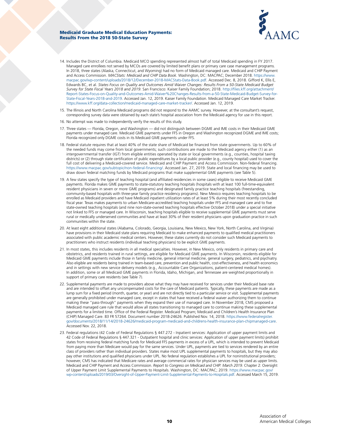

- 14. Includes the District of Columbia. Medicaid MCO spending represented almost half of total Medicaid spending in FY 2017. Managed care enrollees not served by MCOs are covered by limited benefit plans or primary care case management programs. In 2018, three states (Alaska, Connecticut, and Wyoming) had no form of Medicaid managed care. Medicaid and CHIP Payment and Access Commission. *MACStats: Medicaid and CHIP Data Book.* Washington, DC: MACPAC; December 2018. [https://www.](https://www.macpac.gov/wp-content/uploads/2018/12/December-2018-MACStats-Data-Book.pdf) [macpac.gov/wp-content/uploads/2018/12/December-2018-MACStats-Data-Book.pdf.](https://www.macpac.gov/wp-content/uploads/2018/12/December-2018-MACStats-Data-Book.pdf) Accessed Dec. 8, 2018. Gifford K, Ellis E, Edwards BC, et al. *States Focus on Quality and Outcomes Amid Waiver Changes: Results From a 50-State Medicaid Budget Survey for State Fiscal Years 2018 and 2019*. San Francisco: Kaiser Family Foundation; 2018. [http://files.kff.org/attachment/](http://files.kff.org/attachment/Report-States-Focus-on-Quality-and-Outcomes-Amid-Waiver%20Changes-Results-from-a-50-State-Medicaid-Budget-Survey-for-State-Fiscal-Years-2018-and-2019) [Report-States-Focus-on-Quality-and-Outcomes-Amid-Waiver%20Changes-Results-from-a-50-State-Medicaid-Budget-Survey-for-](http://files.kff.org/attachment/Report-States-Focus-on-Quality-and-Outcomes-Amid-Waiver%20Changes-Results-from-a-50-State-Medicaid-Budget-Survey-for-State-Fiscal-Years-2018-and-2019)[State-Fiscal-Years-2018-and-2019](http://files.kff.org/attachment/Report-States-Focus-on-Quality-and-Outcomes-Amid-Waiver%20Changes-Results-from-a-50-State-Medicaid-Budget-Survey-for-State-Fiscal-Years-2018-and-2019). Accessed Jan. 12, 2019. Kaiser Family Foundation. Medicaid Managed Care Market Tracker. [https://www.kff.org/data-collection/medicaid-managed-care-market-tracker/.](https://www.kff.org/data-collection/medicaid-managed-care-market-tracker/) Accessed Jan. 12, 2019.
- 15. The Illinois and North Carolina Medicaid programs did not respond to the AAMC survey. However, at the consultant's request, corresponding survey data were obtained by each state's hospital association from the Medicaid agency for use in this report.
- 16. No attempt was made to independently verify the results of this study.
- 17. Three states Florida, Oregon, and Washington did not distinguish between DGME and IME costs in their Medicaid GME payments under managed care. Medicaid GME payments under FFS in Oregon and Washington recognized DGME and IME costs; Florida recognized only DGME costs in its Medicaid GME payments under FFS.
- 18. Federal statute requires that at least 40% of the state share of Medicaid be financed from state governments. Up to 60% of the needed funds may come from local governments; such contributions are made to the Medicaid agency either (1) as an intergovernmental transfer (IGT) from eligible entities operated by state or local governments (e.g., counties, hospital taxing districts) or (2) through state certification of public expenditures by a local public provider (e.g., county hospital) used to cover the full cost of delivering a Medicaid-covered service. Medicaid and CHIP Payment and Access Commission. Non-federal financing. <https://www.macpac.gov/subtopic/non-federal-financing/>. Accessed Jan. 27, 2019. State and local financing may be used to draw down federal matching funds by Medicaid programs that make supplemental GME payments (see Table 5).
- 19. A few states specify the type of teaching hospital (and affiliated residencies in some cases) eligible to receive Medicaid GME payments. Florida makes GME payments to state-statutory teaching hospitals (hospitals with at least 100 full-time-equivalent resident physicians in seven or more GME programs) and designated family practice teaching hospitals (freestanding, community-based hospitals with three-year family practice residency programs). New Mexico requires teaching hospitals to be enrolled as Medicaid providers and have Medicaid inpatient utilization rates of at least 5% during their most recently concluded fiscal year. Texas makes payments to urban Medicare-accredited teaching hospitals under FFS and managed care and to five state-owned teaching hospitals (and nine non-state-owned teaching hospitals effective October 2018) under a special initiative not linked to FFS or managed care. In Wisconsin, teaching hospitals eligible to receive supplemental GME payments must serve rural or medically underserved communities and have at least 30% of their resident physicians upon graduation practice in such communities within the state.
- 20. At least eight additional states (Alabama, Colorado, Georgia, Louisiana, New Mexico, New York, North Carolina, and Virginia) have provisions in their Medicaid state plans requiring Medicaid to make enhanced payments to qualified medical practitioners associated with public academic medical centers. However, these states currently do not consider such Medicaid payments to practitioners who instruct residents (individual teaching physicians) to be explicit GME payments.
- 21. In most states, this includes residents in all medical specialties. However, in New Mexico, only residents in primary care and obstetrics, and residents trained in rural settings, are eligible for Medicaid GME payments. In Wisconsin, residents eligible for Medicaid GME payments include those in family medicine, general internal medicine, general surgery, pediatrics, and psychiatry. Also eligible are residents being trained in team-based care, prevention and public health, cost-effectiveness, and health economics and in settings with new service delivery models (e.g., Accountable Care Organizations, patient-centered medical homes). In addition, some or all Medicaid GME payments in Florida, Idaho, Michigan, and Tennessee are weighted proportionally in support of primary care residents (see Table 7).
- 22. Supplemental payments are made to providers above what they may have received for services under their Medicaid base rate and are intended to offset any uncompensated costs for the care of Medicaid patients. Typically, these payments are made as a lump sum for a fixed period (month, quarter, or year) and are not directly tied to a particular service or visit. Supplemental payments are generally prohibited under managed care, except in states that have received a federal waiver authorizing them to continue making these "pass-through" payments when they expand their use of managed care. In November 2018, CMS proposed a Medicaid managed care rule that would allow all states transitioning to managed care to continue making these supplemental payments for a limited time. Office of the Federal Register. Medicaid Program; Medicaid and Children's Health Insurance Plan (CHIP) Managed Care. 83 FR 57264. Document number 2018-24626. Published Nov. 14, 2018. [https://www.federalregister.](https://www.federalregister.gov/documents/2018/11/14/2018-24626/medicaid-program-medicaid-and-childrens-health-insurance-plan-chipmanaged-care) [gov/documents/2018/11/14/2018-24626/medicaid-program-medicaid-and-childrens-health-insurance-plan-chipmanaged-care](https://www.federalregister.gov/documents/2018/11/14/2018-24626/medicaid-program-medicaid-and-childrens-health-insurance-plan-chipmanaged-care). Accessed Nov. 22, 2018.
- 23. Federal regulations (42 Code of Federal Regulations § 447.272 Inpatient services: Application of upper payment limits and 42 Code of Federal Regulations § 447.321 - Outpatient hospital and clinic services: Application of upper payment limits) prohibit states from receiving federal matching funds for Medicaid FFS payments in excess of a UPL, which is intended to prevent Medicaid from paying more than Medicare would pay for the same services. Under UPL, payments are tied to services rendered by an entire class of providers rather than individual providers. States make most UPL supplemental payments to hospitals, but they may also pay other institutions and qualified physicians under UPL. No federal regulation establishes a UPL for noninstitutional providers; however, CMS has indicated that Medicare rates and average commercial rates for physician services may be used as upper limits. Medicaid and CHIP Payment and Access Commission. *Report to Congress on Medicaid and CHIP: March 2019.* Chapter 2: Oversight of Upper Payment Limit Supplemental Payments to Hospitals. Washington, DC: MACPAC; 2019. [https://www.macpac.gov/](https://www.macpac.gov/wp-content/uploads/2019/03/Oversight-of-Upper-Payment-Limit-Supplemental-Payments-to-Hospitals.pdf) [wp-content/uploads/2019/03/Oversight-of-Upper-Payment-Limit-Supplemental-Payments-to-Hospitals.pdf](https://www.macpac.gov/wp-content/uploads/2019/03/Oversight-of-Upper-Payment-Limit-Supplemental-Payments-to-Hospitals.pdf). Accessed March 15, 2019.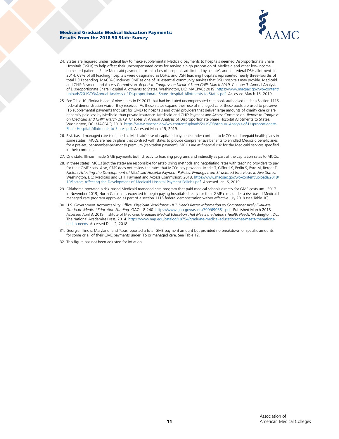

- 24. States are required under federal law to make supplemental Medicaid payments to hospitals deemed Disproportionate Share Hospitals (DSHs) to help offset their uncompensated costs for serving a high proportion of Medicaid and other low-income, uninsured patients. State Medicaid payments for this class of hospitals are limited by a state's annual federal DSH allotment. In 2014, 68% of all teaching hospitals were designated as DSHs, and DSH teaching hospitals represented nearly three-fourths of total DSH spending. MACPAC includes GME as one of 10 essential community services that DSH hospitals may provide. Medicaid and CHIP Payment and Access Commission. *Report to Congress on Medicaid and CHIP: March 2019.* Chapter 3: Annual Analysis of Disproportionate Share Hospital Allotments to States. Washington, DC: MACPAC; 2019. [https://www.macpac.gov/wp-content/](https://www.macpac.gov/wp-content/uploads/2019/03/Annual-Analysis-of-Disproportionate-Share-Hospital-Allotments-to-States.pdf) [uploads/2019/03/Annual-Analysis-of-Disproportionate-Share-Hospital-Allotments-to-States.pdf](https://www.macpac.gov/wp-content/uploads/2019/03/Annual-Analysis-of-Disproportionate-Share-Hospital-Allotments-to-States.pdf). Accessed March 15, 2019.
- 25. See Table 10. Florida is one of nine states in FY 2017 that had instituted uncompensated care pools authorized under a Section 1115 federal demonstration waiver they received. As these states expand their use of managed care, these pools are used to preserve FFS supplemental payments (not just for GME) to hospitals and other providers that deliver large amounts of charity care or are generally paid less by Medicaid than private insurance. Medicaid and CHIP Payment and Access Commission. *Report to Congress on Medicaid and CHIP: March 2019.* Chapter 3: Annual Analysis of Disproportionate Share Hospital Allotments to States. Washington, DC: MACPAC; 2019. [https://www.macpac.gov/wp-content/uploads/2019/03/Annual-Analysis-of-Disproportionate-](https://www.macpac.gov/wp-content/uploads/2019/03/Annual-Analysis-of-Disproportionate-Share-Hospital-Allotments-to-States.pdf)[Share-Hospital-Allotments-to-States.pdf](https://www.macpac.gov/wp-content/uploads/2019/03/Annual-Analysis-of-Disproportionate-Share-Hospital-Allotments-to-States.pdf). Accessed March 15, 2019.
- 26. Risk-based managed care is defined as Medicaid's use of capitated payments under contract to MCOs (and prepaid health plans in some states). MCOs are health plans that contract with states to provide comprehensive benefits to enrolled Medicaid beneficiaries for a pre-set, per-member-per-month premium (capitation payment). MCOs are at financial risk for the Medicaid services specified in their contracts.
- 27. One state, Illinois, made GME payments both directly to teaching programs and indirectly as part of the capitation rates to MCOs.
- 28. In these states, MCOs (not the state) are responsible for establishing methods and negotiating rates with teaching providers to pay for their GME costs. Also, CMS does not review the rates that MCOs pay providers. Marks T, Gifford K, Perlin S, Byrd M, Berger T. Factors Affecting the Development of Medicaid Hospital Payment Policies: Findings from Structured Interviews in Five States. Washington, DC: Medicaid and CHIP Payment and Access Commission; 2018. [https://www.macpac.gov/wp-content/uploads/2018/](https://www.macpac.gov/wp-content/uploads/2018/10/Factors-Affecting-the-Development-of-Medicaid-Hospital-Payment-Policies.pdf) [10/Factors-Affecting-the-Development-of-Medicaid-Hospital-Payment-Policies.pdf.](https://www.macpac.gov/wp-content/uploads/2018/10/Factors-Affecting-the-Development-of-Medicaid-Hospital-Payment-Policies.pdf) Accessed Jan. 6, 2019.
- 29. Oklahoma operated a risk-based Medicaid managed care program that paid medical schools directly for GME costs until 2017. In November 2019, North Carolina is expected to begin paying hospitals directly for their GME costs under a risk-based Medicaid managed care program approved as part of a section 1115 federal demonstration waiver effective July 2019 (see Table 10).
- 30. U.S. Government Accountability Office. *Physician Workforce: HHS Needs Better Information to Comprehensively Evaluate Graduate Medical Education Funding.* GAO-18-240. <https://www.gao.gov/assets/700/690581.pdf>. Published March 2018. Accessed April 3, 2019. Institute of Medicine. *Graduate Medical Education That Meets the Nation's Health Needs.* Washington, DC: The National Academies Press; 2014. [https://www.nap.edu/catalog/18754/graduate-medical-education-that-meets-thenations](https://www.nap.edu/catalog/18754/graduate-medical-education-that-meets-thenations-health-needs)[health-needs.](https://www.nap.edu/catalog/18754/graduate-medical-education-that-meets-thenations-health-needs) Accessed Dec. 2, 2018.
- 31. Georgia, Illinois, Maryland, and Texas reported a total GME payment amount but provided no breakdown of specific amounts for some or all of their GME payments under FFS or managed care. See Table 12.
- 32. This figure has not been adjusted for inflation.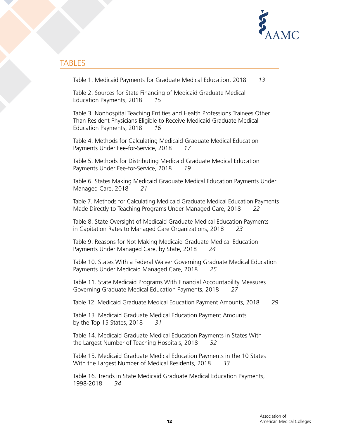

# TABLES

Table 1. Medicaid Payments for Graduate Medical Education, 2018 *13*

Table 2. Sources for State Financing of Medicaid Graduate Medical Education Payments, 2018 *15*

Table 3. Nonhospital Teaching Entities and Health Professions Trainees Other Than Resident Physicians Eligible to Receive Medicaid Graduate Medical Education Payments, 2018 *16*

Table 4. Methods for Calculating Medicaid Graduate Medical Education Payments Under Fee-for-Service, 2018 *17*

Table 5. Methods for Distributing Medicaid Graduate Medical Education Payments Under Fee-for-Service, 2018 *19*

Table 6. States Making Medicaid Graduate Medical Education Payments Under Managed Care, 2018 *21*

Table 7. Methods for Calculating Medicaid Graduate Medical Education Payments Made Directly to Teaching Programs Under Managed Care, 2018 *22*

Table 8. State Oversight of Medicaid Graduate Medical Education Payments in Capitation Rates to Managed Care Organizations, 2018 *23*

Table 9. Reasons for Not Making Medicaid Graduate Medical Education Payments Under Managed Care, by State, 2018 *24*

Table 10. States With a Federal Waiver Governing Graduate Medical Education Payments Under Medicaid Managed Care, 2018 *25*

Table 11. State Medicaid Programs With Financial Accountability Measures Governing Graduate Medical Education Payments, 2018 *27*

Table 12. Medicaid Graduate Medical Education Payment Amounts, 2018 *29*

Table 13. Medicaid Graduate Medical Education Payment Amounts by the Top 15 States, 2018 *31*

Table 14. Medicaid Graduate Medical Education Payments in States With the Largest Number of Teaching Hospitals, 2018 *32*

Table 15. Medicaid Graduate Medical Education Payments in the 10 States With the Largest Number of Medical Residents, 2018 *33*

Table 16. Trends in State Medicaid Graduate Medical Education Payments, 1998-2018 *34*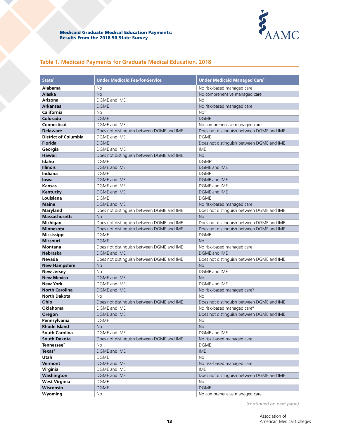

# **Table 1. Medicaid Payments for Graduate Medical Education, 2018**

| State <sup>1</sup>          | <b>Under Medicaid Fee-for-Service</b>     | <b>Under Medicaid Managed Care<sup>2</sup></b> |
|-----------------------------|-------------------------------------------|------------------------------------------------|
| Alabama                     | <b>No</b>                                 | No risk-based managed care                     |
| <b>Alaska</b>               | <b>No</b>                                 | No comprehensive managed care                  |
| <b>Arizona</b>              | DGME and IME                              | No                                             |
| <b>Arkansas</b>             | <b>DGME</b>                               | No risk-based managed care                     |
| California                  | No                                        | No <sup>3</sup>                                |
| Colorado                    | <b>DGME</b>                               | <b>DGME</b>                                    |
| <b>Connecticut</b>          | DGME and IME                              | No comprehensive managed care                  |
| <b>Delaware</b>             | Does not distinguish between DGME and IME | Does not distinguish between DGME and IME      |
| <b>District of Columbia</b> | DGME and IME                              | <b>DGME</b>                                    |
| <b>Florida</b>              | <b>DGME</b>                               | Does not distinguish between DGME and IME      |
| Georgia                     | DGME and IME                              | IME                                            |
| <b>Hawaii</b>               | Does not distinguish between DGME and IME | <b>No</b>                                      |
| Idaho                       | <b>DGME</b>                               | DGME <sup>4</sup>                              |
| <b>Illinois</b>             | <b>DGME</b> and IME                       | <b>DGME</b> and IME                            |
| Indiana                     | <b>DGME</b>                               | <b>DGME</b>                                    |
| lowa                        | <b>DGME and IME</b>                       | DGME and IME                                   |
| <b>Kansas</b>               | DGME and IME                              | DGME and IME                                   |
| Kentucky                    | <b>DGME and IME</b>                       | DGME and IME                                   |
| Louisiana                   | <b>DGME</b>                               | <b>DGME</b>                                    |
| <b>Maine</b>                | DGME and IME                              | No risk-based managed care                     |
| Maryland                    | Does not distinguish between DGME and IME | Does not distinguish between DGME and IME      |
| <b>Massachusetts</b>        | <b>No</b>                                 | <b>No</b>                                      |
| Michigan                    | Does not distinguish between DGME and IME | Does not distinguish between DGME and IME      |
| <b>Minnesota</b>            | Does not distinguish between DGME and IME | Does not distinguish between DGME and IME      |
| <b>Mississippi</b>          | <b>DGME</b>                               | <b>DGME</b>                                    |
| <b>Missouri</b>             | <b>DGME</b>                               | <b>No</b>                                      |
| <b>Montana</b>              | Does not distinguish between DGME and IME | No risk-based managed care                     |
| <b>Nebraska</b>             | <b>DGME</b> and IME                       | <b>DGME</b> and IME                            |
| <b>Nevada</b>               | Does not distinguish between DGME and IME | Does not distinguish between DGME and IME      |
| <b>New Hampshire</b>        | No                                        | <b>No</b>                                      |
| <b>New Jersey</b>           | N <sub>o</sub>                            | DGME and IME                                   |
| <b>New Mexico</b>           | <b>DGME and IME</b>                       | <b>No</b>                                      |
| <b>New York</b>             | <b>DGME</b> and IME                       | DGME and IME                                   |
| <b>North Carolina</b>       | DGME and IME                              | No risk-based managed care <sup>5</sup>        |
| <b>North Dakota</b>         | <b>No</b>                                 | No                                             |
| Ohio                        | Does not distinguish between DGME and IME | Does not distinguish between DGME and IME      |
| Oklahoma                    | DGME and IME                              | No risk-based managed care <sup>6</sup>        |
| Oregon                      | <b>DGME and IME</b>                       | Does not distinguish between DGME and IME      |
| Pennsylvania                | <b>DGME</b>                               | No                                             |
| <b>Rhode Island</b>         | No                                        | <b>No</b>                                      |
| <b>South Carolina</b>       | DGME and IME                              | DGME and IME                                   |
| <b>South Dakota</b>         | Does not distinguish between DGME and IME | No risk-based managed care                     |
| Tennessee $7$               | No                                        | <b>DGME</b>                                    |
| <b>Texas</b> <sup>8</sup>   | DGME and IME                              | <b>IME</b>                                     |
| Utah                        | <b>DGME</b>                               | No                                             |
| Vermont                     | DGME and IME                              | No risk-based managed care                     |
| Virginia                    | DGME and IME                              | IME                                            |
| Washington                  | DGME and IME                              | Does not distinguish between DGME and IME      |
| <b>West Virginia</b>        | DGME                                      | No                                             |
| Wisconsin                   | <b>DGME</b>                               | <b>DGME</b>                                    |
| Wyoming                     | No                                        | No comprehensive managed care                  |

*(continued on next page)*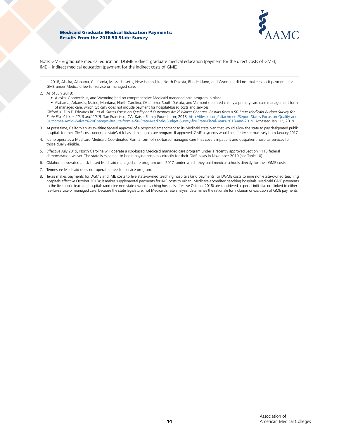

Note: GME = graduate medical education; DGME = direct graduate medical education (payment for the direct costs of GME); IME = indirect medical education (payment for the indirect costs of GME).

1. In 2018, Alaska, Alabama, California, Massachusetts, New Hampshire, North Dakota, Rhode Island, and Wyoming did not make explicit payments for GME under Medicaid fee-for-service or managed care.

- 2. As of July 2018:
	- Alaska, Connecticut, and Wyoming had no comprehensive Medicaid managed care program in place.
	- Alabama, Arkansas, Maine, Montana, North Carolina, Oklahoma, South Dakota, and Vermont operated chiefly a primary care case management form of managed care, which typically does not include payment for hospital-based costs and services.

Gifford K, Ellis E, Edwards BC, et al. *States Focus on Quality and Outcomes Amid Waiver Changes: Results from a 50-State Medicaid Budget Survey for State Fiscal Years 2018 and 2019.* San Francisco, CA: Kaiser Family Foundation; 2018. [http://files.kff.org/attachment/Report-States-Focus-on-Quality-and-](http://files.kff.org/attachment/Report-States-Focus-on-Quality-and-Outcomes-Amid-Waiver%20Changes-Results-from-a-50-State-Medicaid-Budget-Survey-for-State-Fiscal-Years-2018-and-2019)[Outcomes-Amid-Waiver%20Changes-Results-from-a-50-State-Medicaid-Budget-Survey-for-State-Fiscal-Years-2018-and-2019](http://files.kff.org/attachment/Report-States-Focus-on-Quality-and-Outcomes-Amid-Waiver%20Changes-Results-from-a-50-State-Medicaid-Budget-Survey-for-State-Fiscal-Years-2018-and-2019). Accessed Jan. 12, 2019.

- 3. At press time, California was awaiting federal approval of a proposed amendment to its Medicaid state plan that would allow the state to pay designated public hospitals for their GME costs under the state's risk-based managed care program. If approved, GME payments would be effective retroactively from January 2017.
- 4. Idaho operates a Medicare-Medicaid Coordinated Plan, a form of risk-based managed care that covers inpatient and outpatient hospital services for those dually eligible.
- 5. Effective July 2019, North Carolina will operate a risk-based Medicaid managed care program under a recently approved Section 1115 federal demonstration waiver. The state is expected to begin paying hospitals directly for their GME costs in November 2019 (see Table 10).
- 6. Oklahoma operated a risk-based Medicaid managed care program until 2017, under which they paid medical schools directly for their GME costs.
- 7. Tennessee Medicaid does not operate a fee-for-service program.
- 8. Texas makes payments for DGME and IME costs to five state-owned teaching hospitals (and payments for DGME costs to nine non-state-owned teaching hospitals effective October 2018); it makes supplemental payments for IME costs to urban, Medicare-accredited teaching hospitals. Medicaid GME payments to the five public teaching hospitals (and nine non-state-owned teaching hospitals effective October 2018) are considered a special initiative not linked to either fee-for-service or managed care, because the state legislature, not Medicaid's rate analysis, determines the rationale for inclusion or exclusion of GME payments.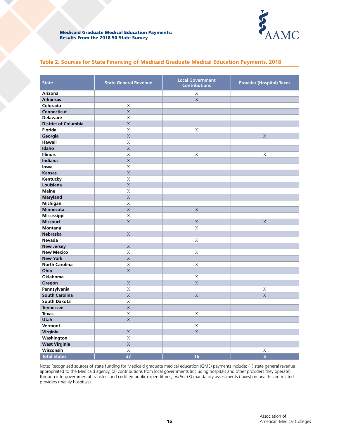

### **Table 2. Sources for State Financing of Medicaid Graduate Medical Education Payments, 2018**

| <b>State</b>                | <b>State General Revenue</b> | <b>Local Government</b><br><b>Contributions</b> | <b>Provider (Hospital) Taxes</b> |
|-----------------------------|------------------------------|-------------------------------------------------|----------------------------------|
| Arizona                     |                              | X                                               |                                  |
| <b>Arkansas</b>             |                              | $\overline{\mathsf{X}}$                         |                                  |
| Colorado                    | $\mathsf X$                  |                                                 |                                  |
| <b>Connecticut</b>          | $\overline{\mathsf{X}}$      |                                                 |                                  |
| <b>Delaware</b>             | $\times$                     |                                                 |                                  |
| <b>District of Columbia</b> | $\overline{\mathsf{X}}$      |                                                 |                                  |
| <b>Florida</b>              | $\mathsf X$                  | $\mathsf X$                                     |                                  |
| Georgia                     | $\overline{\mathsf{X}}$      |                                                 | $\times$                         |
| <b>Hawaii</b>               | X                            |                                                 |                                  |
| Idaho                       | $\overline{X}$               |                                                 |                                  |
| <b>Illinois</b>             | X                            | X                                               | X                                |
| Indiana                     | $\overline{\mathsf{X}}$      |                                                 |                                  |
| lowa                        | $\mathsf X$                  |                                                 |                                  |
| <b>Kansas</b>               | $\overline{X}$               |                                                 |                                  |
| Kentucky                    | $\mathsf X$                  |                                                 |                                  |
| Louisiana                   | $\mathsf X$                  |                                                 |                                  |
| <b>Maine</b>                | $\mathsf X$                  |                                                 |                                  |
| <b>Maryland</b>             | $\overline{\mathsf{X}}$      |                                                 |                                  |
| Michigan                    | $\mathsf X$                  |                                                 |                                  |
| <b>Minnesota</b>            | $\overline{X}$               | $\overline{\mathsf{X}}$                         |                                  |
| Mississippi                 | $\mathsf X$                  |                                                 |                                  |
| <b>Missouri</b>             | $\times$                     | $\mathsf X$                                     | $\times$                         |
| <b>Montana</b>              |                              | X                                               |                                  |
| <b>Nebraska</b>             | $\overline{X}$               |                                                 |                                  |
| Nevada                      |                              | X                                               |                                  |
| <b>New Jersey</b>           | $\mathsf X$                  |                                                 |                                  |
| <b>New Mexico</b>           | $\mathsf X$                  | X                                               |                                  |
| <b>New York</b>             | $\overline{\mathsf{X}}$      |                                                 |                                  |
| <b>North Carolina</b>       | $\mathsf X$                  | X                                               |                                  |
| Ohio                        | $\overline{\mathsf{X}}$      |                                                 |                                  |
| Oklahoma                    |                              | $\mathsf X$                                     |                                  |
| Oregon                      | $\times$                     | $\times$                                        |                                  |
| Pennsylvania                | $\mathsf X$                  |                                                 | X                                |
| <b>South Carolina</b>       | $\mathsf X$                  | $\times$                                        | $\times$                         |
| <b>South Dakota</b>         | $\mathsf X$                  |                                                 |                                  |
| <b>Tennessee</b>            | $\mathsf X$                  |                                                 |                                  |
| <b>Texas</b>                | $\overline{\mathsf{X}}$      | X                                               |                                  |
| <b>Utah</b>                 | $\times$                     |                                                 |                                  |
| Vermont                     |                              | X                                               |                                  |
| Virginia                    | $\mathsf X$                  | $\overline{\mathsf{X}}$                         |                                  |
| Washington                  | $\mathsf X$                  |                                                 |                                  |
| <b>West Virginia</b>        | $\overline{X}$               |                                                 |                                  |
| Wisconsin                   | $\overline{X}$               |                                                 | X                                |
| <b>Total States</b>         | $\overline{37}$              | 16                                              | $6\overline{6}$                  |

Note: Recognized sources of state funding for Medicaid graduate medical education (GME) payments include: (1) state general revenue appropriated to the Medicaid agency, (2) contributions from local governments (including hospitals and other providers they operate) through intergovernmental transfers and certified public expenditures, *and/or* (3) mandatory assessments (taxes) on health care-related providers (mainly hospitals).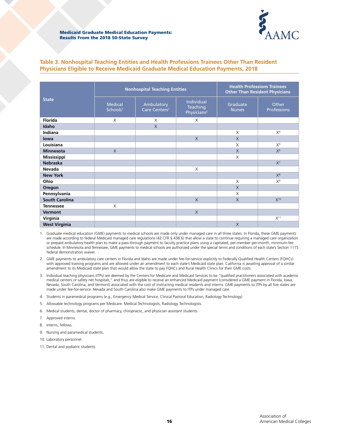

# **Table 3. Nonhospital Teaching Entities and Health Professions Trainees Other Than Resident Physicians Eligible to Receive Medicaid Graduate Medical Education Payments, 2018**

|                       |                                        | <b>Nonhospital Teaching Entities</b>    | <b>Health Professions Trainees</b><br><b>Other Than Resident Physicians</b> |                           |                      |
|-----------------------|----------------------------------------|-----------------------------------------|-----------------------------------------------------------------------------|---------------------------|----------------------|
| <b>State</b>          | <b>Medical</b><br>Schools <sup>1</sup> | Ambulatory<br>Care Centers <sup>2</sup> | Individual<br>Teaching<br>Physicians <sup>3</sup>                           | Graduate<br><b>Nurses</b> | Other<br>Professions |
| <b>Florida</b>        | X                                      | X                                       | X                                                                           |                           |                      |
| Idaho                 |                                        | $\times$                                |                                                                             |                           |                      |
| Indiana               |                                        |                                         |                                                                             | $\times$                  | X <sup>4</sup>       |
| lowa                  |                                        |                                         | $\times$                                                                    | $\times$                  |                      |
| Louisiana             |                                        |                                         |                                                                             | X                         | $X^5$                |
| <b>Minnesota</b>      | $\chi$                                 |                                         |                                                                             | $\times$                  | $X^6$                |
| <b>Mississippi</b>    |                                        |                                         |                                                                             | X                         |                      |
| <b>Nebraska</b>       |                                        |                                         |                                                                             |                           | $X^7$                |
| Nevada                |                                        |                                         | X                                                                           |                           |                      |
| <b>New York</b>       |                                        |                                         |                                                                             |                           | $X^8$                |
| Ohio                  |                                        |                                         |                                                                             | X                         | $X^9$                |
| Oregon                |                                        |                                         |                                                                             | $\chi$                    |                      |
| Pennsylvania          |                                        |                                         |                                                                             | X                         |                      |
| <b>South Carolina</b> |                                        |                                         | $\times$                                                                    | $\times$                  | $X^{10}$             |
| <b>Tennessee</b>      | X                                      |                                         |                                                                             |                           |                      |
| <b>Vermont</b>        |                                        |                                         | $\times$                                                                    |                           |                      |
| Virginia              |                                        |                                         |                                                                             |                           | $X^{11}$             |
| <b>West Virginia</b>  |                                        |                                         |                                                                             | $\times$                  |                      |

1. Graduate medical education (GME) payments to medical schools are made only under managed care in all three states. In Florida, these GME payments are made according to federal Medicaid managed care regulations (42 CFR § 438.6) that allow a state to continue requiring a managed care organization or prepaid ambulatory health plan to make a pass-through payment to faculty practice plans using a capitated, per-member per-month, minimum-fee schedule. In Minnesota and Tennessee, GME payments to medical schools are authorized under the special terms and conditions of each state's Section 1115 federal demonstration waiver.

2. GME payments to ambulatory care centers in Florida and Idaho are made under fee-for-service explicitly to Federally Qualified Health Centers (FQHCs) with approved training programs and are allowed under an amendment to each state's Medicaid state plan. California is awaiting approval of a similar amendment to its Medicaid state plan that would allow the state to pay FQHCs and Rural Health Clinics for their GME costs.

3. Individual teaching physicians (ITPs) are deemed by the Centers for Medicare and Medicaid Services to be "qualified practitioners associated with academic medical centers or safety net hospitals," and thus are eligible to receive an enhanced Medicaid payment (considered a GME payment in Florida, Iowa, Nevada, South Carolina, and Vermont) associated with the cost of instructing medical residents and interns. GME payments to ITPs by all five states are made under fee-for-service. Nevada and South Carolina also make GME payments to ITPs under managed care.

4. Students in paramedical programs (e.g., Emergency Medical Service, Clinical Pastoral Education, Radiology Technology).

5. Allowable technology programs per Medicare: Medical Technologists, Radiology Technologists.

6. Medical students; dental, doctor of pharmacy, chiropractic, and physician assistant students.

- 7. Approved interns.
- 8. Interns, fellows.
- 9. Nursing and paramedical students.
- 10. Laboratory personnel.
- 11. Dental and podiatric students.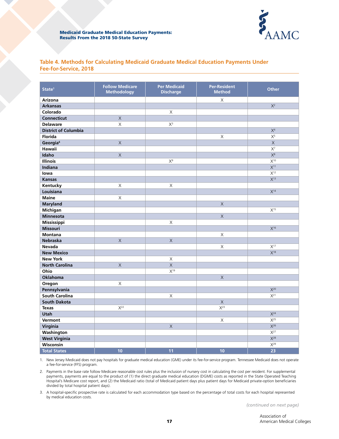

### **Table 4. Methods for Calculating Medicaid Graduate Medical Education Payments Under Fee-for-Service, 2018**

| State <sup>1</sup>          | <b>Follow Medicare</b><br><b>Methodology</b> | <b>Per Medicaid</b><br><b>Discharge</b> | <b>Per-Resident</b><br><b>Method</b> | <b>Other</b>        |
|-----------------------------|----------------------------------------------|-----------------------------------------|--------------------------------------|---------------------|
| <b>Arizona</b>              |                                              |                                         | $\mathsf X$                          |                     |
| <b>Arkansas</b>             |                                              |                                         |                                      | $X^2$               |
| Colorado                    |                                              | X                                       |                                      |                     |
| <b>Connecticut</b>          | $\times$                                     |                                         |                                      |                     |
| <b>Delaware</b>             | X                                            | $X^3$                                   |                                      |                     |
| <b>District of Columbia</b> |                                              |                                         |                                      | X <sup>4</sup>      |
| <b>Florida</b>              |                                              |                                         | $\mathsf X$                          | $X^5$               |
| Georgia <sup>6</sup>        | $\mathsf X$                                  |                                         |                                      | $\mathsf X$         |
| Hawaii                      |                                              |                                         |                                      | $X^7$               |
| Idaho                       | $\mathsf X$                                  |                                         |                                      | $X^8$               |
| Illinois                    |                                              | $X^9$                                   |                                      | $X^{10}$            |
| <b>Indiana</b>              |                                              |                                         |                                      | X <sup>11</sup>     |
| lowa                        |                                              |                                         |                                      | X <sup>12</sup>     |
| <b>Kansas</b>               |                                              |                                         |                                      | X <sup>13</sup>     |
| Kentucky                    | $\mathsf X$                                  | $\mathsf X$                             |                                      |                     |
| Louisiana                   |                                              |                                         |                                      | $X^{14}$            |
| <b>Maine</b>                | $\mathsf X$                                  |                                         |                                      |                     |
| <b>Maryland</b>             |                                              |                                         | $\times$                             |                     |
| Michigan                    |                                              |                                         |                                      | X <sup>15</sup>     |
| <b>Minnesota</b>            |                                              |                                         | $\overline{\mathsf{X}}$              |                     |
| Mississippi                 |                                              | $\mathsf X$                             |                                      |                     |
| <b>Missouri</b>             |                                              |                                         |                                      | $X^{16}$            |
| <b>Montana</b>              |                                              |                                         | X                                    |                     |
| <b>Nebraska</b>             | $\times$                                     | $\mathsf X$                             |                                      |                     |
| <b>Nevada</b>               |                                              |                                         | X                                    | X <sup>17</sup>     |
| <b>New Mexico</b>           |                                              |                                         |                                      | $X^{18}$            |
| <b>New York</b>             |                                              | $\mathsf X$                             |                                      |                     |
| <b>North Carolina</b>       | $\mathsf X$                                  | $\overline{\mathsf{X}}$                 |                                      |                     |
| Ohio                        |                                              | X <sup>19</sup>                         |                                      |                     |
| <b>Oklahoma</b>             |                                              |                                         | $\times$                             |                     |
| Oregon                      | X                                            |                                         |                                      |                     |
| Pennsylvania                |                                              |                                         |                                      | $X^{20}$            |
| South Carolina              |                                              | X                                       |                                      | $X^{21}$            |
| <b>South Dakota</b>         |                                              |                                         | $\mathsf X$                          |                     |
| <b>Texas</b>                | $X^{22}$                                     |                                         | $X^{23}$                             |                     |
| Utah                        |                                              |                                         |                                      | $\overline{X^{24}}$ |
| Vermont                     |                                              |                                         | X                                    | $X^{25}$            |
| Virginia                    |                                              | $\boldsymbol{\mathsf{X}}$               |                                      | $X^{26}$            |
| Washington                  |                                              |                                         |                                      | $X^{27}$            |
| <b>West Virginia</b>        |                                              |                                         |                                      | $X^{28}$            |
| Wisconsin                   |                                              |                                         |                                      | $X^{29}$            |
| <b>Total States</b>         | 10                                           | 11                                      | 10                                   | 23                  |

1. New Jersey Medicaid does not pay hospitals for graduate medical education (GME) under its fee-for-service program. Tennessee Medicaid does not operate a fee-for-service (FFS) program.

2. Payments in the base rate follow Medicare reasonable cost rules plus the inclusion of nursery cost in calculating the cost per resident. For supplemental payments, payments are equal to the product of (1) the direct graduate medical education (DGME) costs as reported in the State Operated Teaching Hospital's Medicare cost report, and (2) the Medicaid ratio (total of Medicaid patient days plus patient days for Medicaid private-option beneficiaries divided by total hospital patient days).

3. A hospital-specific prospective rate is calculated for each accommodation type based on the percentage of total costs for each hospital represented by medical education costs.

*(continued on next page)*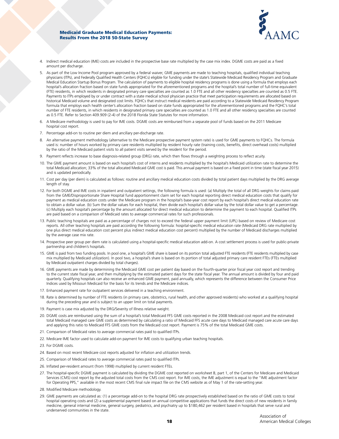

- 4. Indirect medical education (IME) costs are included in the prospective base rate multiplied by the case mix index. DGME costs are paid as a fixed amount per discharge.
- As part of the Low Income Pool program approved by a federal waiver, GME payments are made to teaching hospitals, qualified individual teaching physicians (ITPs), and Federally Qualified Health Centers (FQHCs) eligible for funding under the state's Statewide Medicaid Residency Program and Graduate Medical Education Startup Bonus Program. The calculation of payments to eligible hospital residency programs is done using a formula that employs each hospital's allocation fraction based on state funds appropriated for the aforementioned programs and the hospital's total number of full-time equivalent (FTE) residents, in which residents in designated primary care specialties are counted as 1.0 FTE and all other residency specialties are counted as 0.5 FTE. Payments to ITPs employed by or under contract with a state medical school physician practice that meet participation requirements are allocated based on historical Medicaid volume and designated cost limits. FQHCs that instruct medical residents are paid according to a Statewide Medicaid Residency Program formula that employs each health center's allocation fraction based on state funds appropriated for the aforementioned programs and the FQHC's total number of FTE residents, in which residents in designated primary care specialties are counted as 1.0 FTE and all other residency specialties are counted as 0.5 FTE. Refer to Section 409.909 (2-4) of the 2018 Florida State Statutes for more information.
- 6. A Medicare methodology is used to pay for IME costs. DGME costs are reimbursed from a separate pool of funds based on the 2011 Medicare hospital cost report.
- 7. Percentage add-on to routine per diem and ancillary per-discharge rate.
- 8. An alternative payment methodology (alternative to the Medicare prospective payment system rate) is used for GME payments to FQHCs. The formula used is: number of hours worked by primary care residents multiplied by resident hourly rate (training costs, benefits, direct overhead costs) multiplied by the ratio of the Medicaid patient visits to all patient visits served by the resident for the period.
- 9. Payment reflects increase to base diagnosis-related group (DRG) rate, which then flows through a weighting process to reflect acuity.
- 10. The GME payment amount is based on each hospital's cost of interns and residents multiplied by the hospital's Medicaid utilization rate to determine the total Medicaid allocation; 33% of the total allocated Medicaid GME cost is paid. This annual payment is based on a fixed point in time (state fiscal year 2015) and is updated periodically.
- 11. Cost per day (per diem) is calculated as follows: routine and ancillary medical education costs divided by total patient days multiplied by the DRG average length of stay.
- 12. For both DGME and IME costs in inpatient and outpatient settings, the following formula is used: (a) Multiply the total of all DRG weights for claims paid from the GME/Disproportionate Share Hospital fund apportionment claim set for each hospital reporting direct medical education costs that qualify for payment as medical education costs under the Medicare program in the hospital's base-year cost report by each hospital's direct medical education rate to obtain a dollar value. (b) Sum the dollar values for each hospital, then divide each hospital's dollar value by the total dollar value to get a percentage. (c) Multiply each hospital's percentage by the amount allocated for direct medical education to determine the payment to each hospital. Qualified ITPs are paid based on a comparison of Medicaid rates to average commercial rates for such professionals.
- 13. Public teaching hospitals are paid as a percentage of charges not to exceed the federal upper payment limit (UPL) based on review of Medicare cost reports. All other teaching hospitals are paid according the following formula: hospital-specific medical education rate (Medicaid DRG rate multiplied by one plus direct medical education cost percent plus indirect medical education cost percent) multiplied by the number of Medicaid discharges multiplied by the average case mix rate.
- 14. Prospective peer group per diem rate is calculated using a hospital-specific medical education add-on. A cost settlement process is used for public-private partnership and children's hospitals.
- 15. GME is paid from two funding pools. In pool one, a hospital's GME share is based on its portion total adjusted FTE residents (FTE residents multiplied by case mix multiplied by Medicaid utilization). In pool two, a hospital's share is based on its portion of total adjusted primary care resident FTEs (FTEs multiplied by Medicaid outpatient charges divided by total charges).
- 16. GME payments are made by determining the Medicaid GME cost per patient day based on the fourth-quarter prior fiscal year cost report and trending to the current state fiscal year, and then multiplying by the estimated patient days for the state fiscal year. The annual amount is divided by four and paid quarterly. Qualifying hospitals can also receive an enhanced GME payment, paid annually, which represents the difference between the Consumer Price Indices used by Missouri Medicaid for the basis for its trends and the Medicare indices.
- 17. Enhanced payment rate for outpatient services delivered in a teaching environment.
- 18. Rate is determined by number of FTE residents (in primary care, obstetrics, rural health, and other approved residents) who worked at a qualifying hospital during the preceding year and is subject to an upper limit on total payments.
- 19. Payment is case mix adjusted by the DRG/Severity of Illness relative weight.
- 20. DGME costs are reimbursed using the sum of a hospital's total Medicaid FFS GME costs reported in the 2008 Medicaid cost report and the estimated total Medicaid managed care GME costs as determined by calculating a ratio of Medicaid FFS acute care days to Medicaid managed care acute care days and applying this ratio to Medicaid FFS GME costs from the Medicaid cost report. Payment is 75% of the total Medicaid GME costs.
- 21. Comparison of Medicaid rates to average commercial rates paid to qualified ITPs.
- 22. Medicare IME factor used to calculate add-on payment for IME costs to qualifying urban teaching hospitals.
- 23. For DGME costs.
- 24. Based on most recent Medicare cost reports adjusted for inflation and utilization trends.
- 25. Comparison of Medicaid rates to average commercial rates paid to qualified ITPs.
- 26. Inflated per-resident amount (from 1998) multiplied by current resident FTEs.
- 27. The hospital-specific DGME payment is calculated by dividing the DGME cost reported on worksheet B, part 1, of the Centers for Medicare and Medicaid Services (CMS) cost report by the adjusted total costs from the CMS cost report. For IME costs, the IME adjustment is equal to the "IME adjustment factor for Operating PPS," available in the most recent CMS final rule impact file on the CMS website as of May 1 of the rate-setting year.
- 28. Modified Medicare methodology.
- 29. GME payments are calculated as: (1) a percentage add-on to the hospital DRG rate prospectively established based on the ratio of GME costs to total hospital operating costs and (2) a supplemental payment based on annual competitive applications that funds the direct costs of new residents in family medicine, general internal medicine, general surgery, pediatrics, and psychiatry up to \$180,462 per resident based in hospitals that serve rural and underserved communities in the state.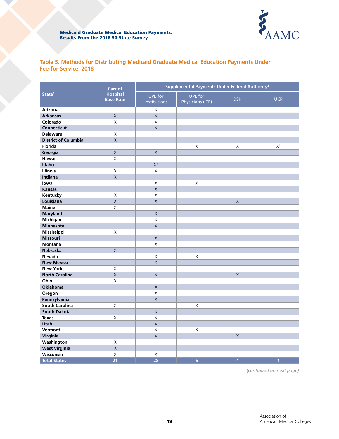

# **Table 5. Methods for Distributing Medicaid Graduate Medical Education Payments Under Fee-for-Service, 2018**

|                             | Part of                             |                                       | Supplemental Payments Under Federal Authority <sup>2</sup> |                |              |
|-----------------------------|-------------------------------------|---------------------------------------|------------------------------------------------------------|----------------|--------------|
| State <sup>1</sup>          | <b>Hospital</b><br><b>Base Rate</b> | <b>UPL</b> for<br><b>Institutions</b> | <b>UPL</b> for<br>Physicians (ITP)                         | <b>DSH</b>     | <b>UCP</b>   |
| Arizona                     |                                     | X                                     |                                                            |                |              |
| <b>Arkansas</b>             | $\mathsf X$                         | $\mathsf X$                           |                                                            |                |              |
| Colorado                    | $\mathsf X$                         | $\mathsf X$                           |                                                            |                |              |
| <b>Connecticut</b>          |                                     | $\overline{X}$                        |                                                            |                |              |
| <b>Delaware</b>             | X                                   |                                       |                                                            |                |              |
| <b>District of Columbia</b> | $\overline{X}$                      |                                       |                                                            |                |              |
| Florida                     |                                     |                                       | $\mathsf X$                                                | X              | $X^3$        |
| Georgia                     | $\mathsf X$                         | $\mathsf X$                           |                                                            |                |              |
| Hawaii                      | $\times$                            |                                       |                                                            |                |              |
| Idaho                       |                                     | X <sup>4</sup>                        |                                                            |                |              |
| <b>Illinois</b>             | X                                   | $\times$                              |                                                            |                |              |
| Indiana                     | $\overline{\mathsf{X}}$             |                                       |                                                            |                |              |
| lowa                        |                                     | $\mathsf X$                           | Χ                                                          |                |              |
| <b>Kansas</b>               |                                     | $\overline{\mathsf{x}}$               |                                                            |                |              |
| Kentucky                    | X                                   | $\times$                              |                                                            |                |              |
| Louisiana                   | $\overline{\mathsf{x}}$             | $\overline{\mathsf{x}}$               |                                                            | $\times$       |              |
| <b>Maine</b>                | X                                   |                                       |                                                            |                |              |
| <b>Maryland</b>             |                                     | $\overline{\mathsf{X}}$               |                                                            |                |              |
| Michigan                    |                                     | $\overline{\mathsf{x}}$               |                                                            |                |              |
| <b>Minnesota</b>            |                                     | $\overline{X}$                        |                                                            |                |              |
| Mississippi                 | X                                   |                                       |                                                            |                |              |
| <b>Missouri</b>             |                                     | $\mathsf X$                           |                                                            |                |              |
| <b>Montana</b>              |                                     | X                                     |                                                            |                |              |
| <b>Nebraska</b>             | $\times$                            |                                       |                                                            |                |              |
| Nevada                      |                                     | X                                     | X                                                          |                |              |
| <b>New Mexico</b>           |                                     | $\overline{\mathsf{X}}$               |                                                            |                |              |
| <b>New York</b>             | X                                   |                                       |                                                            |                |              |
| <b>North Carolina</b>       | $\mathsf X$                         | $\mathsf X$                           |                                                            | $\mathsf X$    |              |
| Ohio                        | $\mathsf{X}$                        |                                       |                                                            |                |              |
| <b>Oklahoma</b>             |                                     | $\overline{\mathsf{X}}$               |                                                            |                |              |
| Oregon                      |                                     | $\overline{\mathsf{X}}$               |                                                            |                |              |
| Pennsylvania                |                                     | $\overline{\mathsf{x}}$               |                                                            |                |              |
| South Carolina              | Χ                                   |                                       | X                                                          |                |              |
| <b>South Dakota</b>         |                                     | $\overline{\mathsf{x}}$               |                                                            |                |              |
| <b>Texas</b>                | X                                   | $\mathsf X$                           |                                                            |                |              |
| <b>Utah</b>                 |                                     | $\mathsf X$                           |                                                            |                |              |
| Vermont                     |                                     | $\mathsf X$                           | X                                                          |                |              |
| Virginia                    |                                     | $\overline{\mathsf{X}}$               |                                                            | $\overline{X}$ |              |
| Washington                  | $\mathsf X$                         |                                       |                                                            |                |              |
| <b>West Virginia</b>        | $\mathsf X$                         |                                       |                                                            |                |              |
| Wisconsin                   | $\overline{\mathsf{x}}$             | X                                     |                                                            |                |              |
| <b>Total States</b>         | $\overline{21}$                     | 28                                    | 5                                                          | $\overline{4}$ | $\mathbf{1}$ |

*(continued on next page)*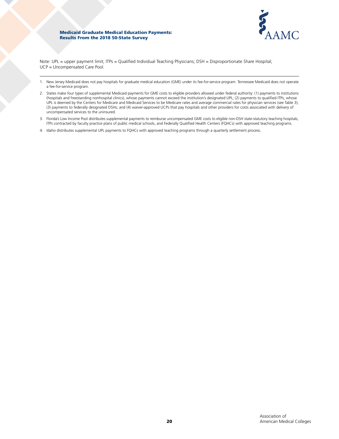

Note: UPL = upper payment limit; ITPs = Qualified Individual Teaching Physicians; DSH = Disproportionate Share Hospital; UCP = Uncompensated Care Pool.

- 1. New Jersey Medicaid does not pay hospitals for graduate medical education (GME) under its fee-for-service program. Tennessee Medicaid does not operate a fee-for-service program.
- 2. States make four types of supplemental Medicaid payments for GME costs to eligible providers allowed under federal authority: (1) payments to institutions (hospitals and freestanding nonhospital clinics), whose payments cannot exceed the institution's designated UPL; (2) payments to qualified ITPs, whose UPL is deemed by the Centers for Medicare and Medicaid Services to be Medicare rates and average commercial rates for physician services (see Table 3); (3) payments to federally designated DSHs; and (4) waiver-approved UCPs that pay hospitals and other providers for costs associated with delivery of uncompensated services to the uninsured.
- 3. Florida's Low Income Pool distributes supplemental payments to reimburse uncompensated GME costs to eligible non-DSH state-statutory teaching hospitals, ITPs contracted by faculty practice plans of public medical schools, and Federally Qualified Health Centers (FQHCs) with approved teaching programs.
- 4. Idaho distributes supplemental UPL payments to FQHCs with approved teaching programs through a quarterly settlement process.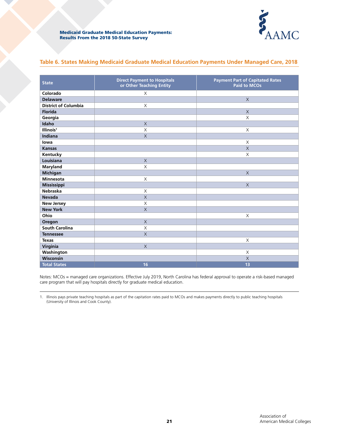

| Table 6. States Making Medicaid Graduate Medical Education Payments Under Managed Care, 2018 |  |  |  |  |  |
|----------------------------------------------------------------------------------------------|--|--|--|--|--|
|                                                                                              |  |  |  |  |  |

| <b>State</b>                | <b>Direct Payment to Hospitals</b><br>or Other Teaching Entity | <b>Payment Part of Capitated Rates</b><br><b>Paid to MCOs</b> |
|-----------------------------|----------------------------------------------------------------|---------------------------------------------------------------|
| Colorado                    | $\times$                                                       |                                                               |
| <b>Delaware</b>             |                                                                | $\mathsf X$                                                   |
| <b>District of Columbia</b> | X                                                              |                                                               |
| <b>Florida</b>              |                                                                | $\overline{X}$                                                |
| Georgia                     |                                                                | $\times$                                                      |
| Idaho                       | $\times$                                                       |                                                               |
| Illinois <sup>1</sup>       | X                                                              | $\times$                                                      |
| Indiana                     | $\mathsf X$                                                    |                                                               |
| lowa                        |                                                                | $\times$                                                      |
| <b>Kansas</b>               |                                                                | $\times$                                                      |
| Kentucky                    |                                                                | $\times$                                                      |
| Louisiana                   | $\mathsf X$                                                    |                                                               |
| <b>Maryland</b>             | X                                                              |                                                               |
| <b>Michigan</b>             |                                                                | $\chi$                                                        |
| <b>Minnesota</b>            | X                                                              |                                                               |
| Mississippi                 |                                                                | $\times$                                                      |
| <b>Nebraska</b>             | X                                                              |                                                               |
| <b>Nevada</b>               | $\times$                                                       |                                                               |
| <b>New Jersey</b>           | X                                                              |                                                               |
| <b>New York</b>             | $\times$                                                       |                                                               |
| Ohio                        |                                                                | $\times$                                                      |
| Oregon                      | $\times$                                                       |                                                               |
| <b>South Carolina</b>       | X                                                              |                                                               |
| <b>Tennessee</b>            | $\mathsf X$                                                    |                                                               |
| <b>Texas</b>                |                                                                | $\times$                                                      |
| Virginia                    | $\times$                                                       |                                                               |
| Washington                  |                                                                | X                                                             |
| Wisconsin                   |                                                                | $\times$                                                      |
| <b>Total States</b>         | 16                                                             | 13                                                            |

Notes: MCOs = managed care organizations. Effective July 2019, North Carolina has federal approval to operate a risk-based managed care program that will pay hospitals directly for graduate medical education.

1. Illinois pays private teaching hospitals as part of the capitation rates paid to MCOs and makes payments directly to public teaching hospitals (University of Illinois and Cook County).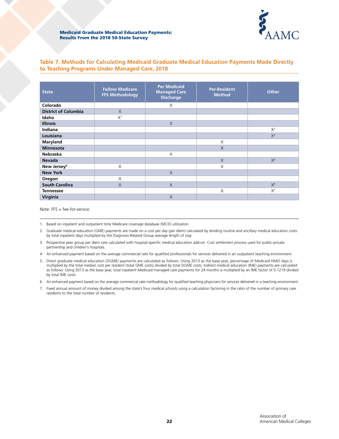

# **Table 7. Methods for Calculating Medicaid Graduate Medical Education Payments Made Directly to Teaching Programs Under Managed Care, 2018**

| <b>State</b>                | <b>Follow Medicare</b><br><b>FFS Methodology</b> | <b>Per Medicaid</b><br><b>Managed Care</b><br><b>Discharge</b> | <b>Per-Resident</b><br><b>Method</b> | <b>Other</b>   |
|-----------------------------|--------------------------------------------------|----------------------------------------------------------------|--------------------------------------|----------------|
| Colorado                    |                                                  | X                                                              |                                      |                |
| <b>District of Columbia</b> | $\times$                                         |                                                                |                                      |                |
| Idaho                       | X <sup>1</sup>                                   |                                                                |                                      |                |
| <b>Illinois</b>             |                                                  | $\times$                                                       |                                      |                |
| Indiana                     |                                                  |                                                                |                                      | $X^2$          |
| Louisiana                   |                                                  |                                                                |                                      | $X^3$          |
| Maryland                    |                                                  |                                                                | X                                    |                |
| <b>Minnesota</b>            |                                                  |                                                                | $\times$                             |                |
| <b>Nebraska</b>             |                                                  | X                                                              |                                      |                |
| <b>Nevada</b>               |                                                  |                                                                | $\times$                             | X <sup>4</sup> |
| New Jersey <sup>5</sup>     | X                                                |                                                                | X                                    |                |
| <b>New York</b>             |                                                  | $\times$                                                       |                                      |                |
| Oregon                      | X                                                |                                                                |                                      |                |
| <b>South Carolina</b>       | $\times$                                         | $\times$                                                       |                                      | $X^6$          |
| <b>Tennessee</b>            |                                                  |                                                                | X                                    | $X^7$          |
| Virginia                    |                                                  | $\times$                                                       |                                      |                |

Note: FFS = fee-for-service.

1. Based on inpatient and outpatient time Medicare coverage database (MCD) utilization.

- 2. Graduate medical education (GME) payments are made on a cost per day (per diem) calculated by dividing routine and ancillary medical education costs by total inpatient days multiplied by the Diagnosis-Related Group average length of stay.
- 3. Prospective peer group per diem rate calculated with hospital-specific medical education add-on. Cost settlement process used for public-private partnership and children's hospitals.

4. An enhanced payment based on the average commercial rate for qualified professionals for services delivered in an outpatient teaching environment.

5. Direct graduate medical education (DGME) payments are calculated as follows: Using 2013 as the base year, percentage of Medicaid HMO days is multiplied by the total median cost per resident (total GME costs) divided by total DGME costs. Indirect medical education (IME) payments are calculated as follows: Using 2013 as the base year, total inpatient Medicaid managed care payments for 24 months is multiplied by an IME factor of 0.1219 divided by total IME costs.

6. An enhanced payment based on the average commercial rate methodology for qualified teaching physicians for services delivered in a teaching environment.

7. Fixed annual amount of money divided among the state's four medical schools using a calculation factoring in the ratio of the number of primary care residents to the total number of residents.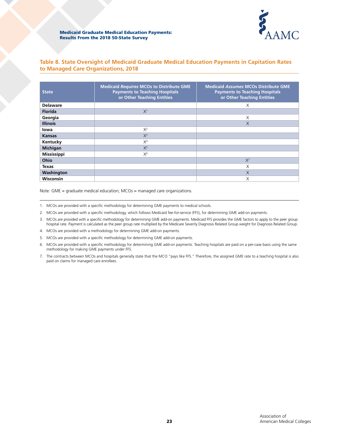

# **Table 8. State Oversight of Medicaid Graduate Medical Education Payments in Capitation Rates to Managed Care Organizations, 2018**

| <b>State</b>       | <b>Medicaid Requires MCOs to Distribute GME</b><br><b>Payments to Teaching Hospitals</b><br>or Other Teaching Entities | <b>Medicaid Assumes MCOs Distribute GME</b><br><b>Payments to Teaching Hospitals</b><br>or Other Teaching Entities |
|--------------------|------------------------------------------------------------------------------------------------------------------------|--------------------------------------------------------------------------------------------------------------------|
| <b>Delaware</b>    |                                                                                                                        | X                                                                                                                  |
| <b>Florida</b>     | X <sup>1</sup>                                                                                                         |                                                                                                                    |
| Georgia            |                                                                                                                        | X                                                                                                                  |
| <b>Illinois</b>    |                                                                                                                        | X                                                                                                                  |
| lowa               | $X^2$                                                                                                                  |                                                                                                                    |
| <b>Kansas</b>      | $X^3$                                                                                                                  |                                                                                                                    |
| Kentucky           | X <sup>4</sup>                                                                                                         |                                                                                                                    |
| <b>Michigan</b>    | $X^5$                                                                                                                  |                                                                                                                    |
| <b>Mississippi</b> | $X^6$                                                                                                                  |                                                                                                                    |
| Ohio               |                                                                                                                        | $X^7$                                                                                                              |
| <b>Texas</b>       |                                                                                                                        | X                                                                                                                  |
| Washington         |                                                                                                                        | X                                                                                                                  |
| <b>Wisconsin</b>   |                                                                                                                        | Χ                                                                                                                  |

Note: GME = graduate medical education; MCOs = managed care organizations.

- 1. MCOs are provided with a specific methodology for determining GME payments to medical schools.
- 2. MCOs are provided with a specific methodology, which follows Medicaid fee-for-service (FFS), for determining GME add-on payments.
- 3. MCOs are provided with a specific methodology for determining GME add-on payments. Medicaid FFS provides the GME factors to apply to the peer group hospital rate. Payment is calculated as the peer group rate multiplied by the Medicare Severity Diagnosis Related Group weight for Diagnosis Related Group.
- 4. MCOs are provided with a methodology for determining GME add-on payments.
- 5. MCOs are provided with a specific methodology for determining GME add-on payments.
- 6. MCOs are provided with a specific methodology for determining GME add-on payments. Teaching hospitals are paid on a per-case basis using the same methodology for making GME payments under FFS.
- 7. The contracts between MCOs and hospitals generally state that the MCO "pays like FFS." Therefore, the assigned GME rate to a teaching hospital is also paid on claims for managed care enrollees.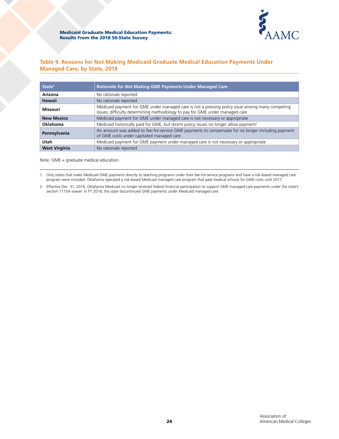

# **Table 9. Reasons for Not Making Medicaid Graduate Medical Education Payments Under Managed Care, by State, 2018**

| State <sup>1</sup>   | Rationale for Not Making GME Payments Under Managed Care                                                                                                                        |
|----------------------|---------------------------------------------------------------------------------------------------------------------------------------------------------------------------------|
| Arizona              | No rationale reported                                                                                                                                                           |
| <b>Hawaii</b>        | No rationale reported                                                                                                                                                           |
| <b>Missouri</b>      | Medicaid payment for GME under managed care is not a pressing policy issue among many competing<br>issues; difficulty determining methodology to pay for GME under managed care |
| <b>New Mexico</b>    | Medicaid payment for GME under managed care is not necessary or appropriate                                                                                                     |
| Oklahoma             | Medicaid historically paid for GME, but recent policy issues no longer allow payment <sup>2</sup>                                                                               |
| Pennsylvania         | An amount was added to fee-for-service GME payments to compensate for no longer including payment<br>of GME costs under capitated managed care                                  |
| Utah                 | Medicaid payment for GME payment under managed care is not necessary or appropriate                                                                                             |
| <b>West Virginia</b> | No rationale reported                                                                                                                                                           |

Note: GME = graduate medical education.

1. Only states that make Medicaid GME payments directly to teaching programs under their fee-for-service programs *and* have a risk-based managed care program were included. Oklahoma operated a risk-based Medicaid managed care program that paid medical schools for GME costs until 2017.

2. Effective Dec. 31, 2016, Oklahoma Medicaid no longer received federal financial participation to support GME managed care payments under the state's section 1115A waiver. In FY 2018, the state discontinued GME payments under Medicaid managed care.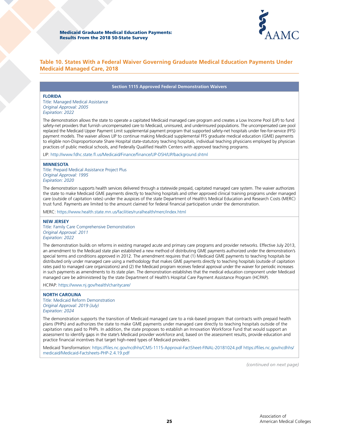

### **Table 10. States With a Federal Waiver Governing Graduate Medical Education Payments Under Medicaid Managed Care, 2018**

#### **Section 1115 Approved Federal Demonstration Waivers**

#### **FLORIDA**

Title: Managed Medical Assistance *Original Approval: 2005 Expiration: 2022*

The demonstration allows the state to operate a capitated Medicaid managed care program and creates a Low Income Pool (LIP) to fund safety-net providers that furnish uncompensated care to Medicaid, uninsured, and underinsured populations. The uncompensated care pool replaced the Medicaid Upper Payment Limit supplemental payment program that supported safety-net hospitals under fee-for-service (FFS) payment models. The waiver allows LIP to continue making Medicaid supplemental FFS graduate medical education (GME) payments to eligible non-Disproportionate Share Hospital state-statutory teaching hospitals, individual teaching physicians employed by physician practices of public medical schools, and Federally Qualified Health Centers with approved teaching programs.

LIP:<http://www.fdhc.state.fl.us/Medicaid/Finance/finance/LIP-DSH/LIP/background.shtml>

#### **MINNESOTA**

Title: Prepaid Medical Assistance Project Plus *Original Approval: 1995 Expiration: 2020*

The demonstration supports health services delivered through a statewide prepaid, capitated managed care system. The waiver authorizes the state to make Medicaid GME payments directly to teaching hospitals and other approved clinical training programs under managed care (outside of capitation rates) under the auspices of the state Department of Health's Medical Education and Research Costs (MERC) trust fund. Payments are limited to the amount claimed for federal financial participation under the demonstration.

MERC: <https://www.health.state.mn.us/facilities/ruralhealth/merc/index.html>

#### **NEW JERSEY**

Title: Family Care Comprehensive Demonstration *Original Approval: 2011 Expiration: 2022*

The demonstration builds on reforms in existing managed acute and primary care programs and provider networks. Effective July 2013, an amendment to the Medicaid state plan established a new method of distributing GME payments authorized under the demonstration's special terms and conditions approved in 2012. The amendment requires that (1) Medicaid GME payments to teaching hospitals be distributed only under managed care using a methodology that makes GME payments directly to teaching hospitals (outside of capitation rates paid to managed care organizations) and (2) the Medicaid program receives federal approval under the waiver for periodic increases in such payments as amendments to its state plan. The demonstration establishes that the medical education component under Medicaid managed care be administered by the state Department of Health's Hospital Care Payment Assistance Program (HCPAP).

HCPAP: <https://www.nj.gov/health/charitycare/>

#### **NORTH CAROLINA**

Title: Medicaid Reform Demonstration *Original Approval: 2019 (July) Expiration: 2024*

The demonstration supports the transition of Medicaid managed care to a risk-based program that contracts with prepaid health plans (PHPs) and authorizes the state to make GME payments under managed care directly to teaching hospitals outside of the capitation rates paid to PHPs. In addition, the state proposes to establish an Innovation Workforce Fund that would support an assessment to identify gaps in the state's Medicaid provider workforce and, based on the assessment results, provide education and practice financial incentives that target high-need types of Medicaid providers.

Medicaid Transformation: <https://files.nc.gov/ncdhhs/CMS-1115-Approval-FactSheet-FINAL-20181024.pdf>https://files.nc.gov/ncdhhs/ medicaid/Medicaid-Factsheets-PHP-2.4.19.pdf

*(continued on next page)*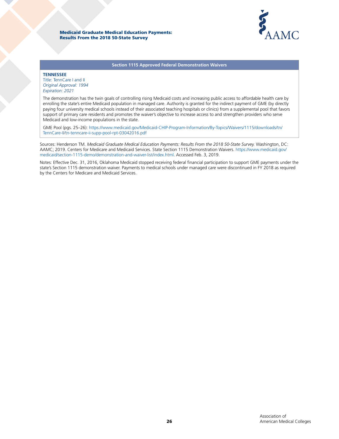



**Section 1115 Approved Federal Demonstration Waivers**

#### **TENNESSEE**

Title: TennCare I and II *Original Approval: 1994 Expiration: 2021*

The demonstration has the twin goals of controlling rising Medicaid costs and increasing public access to affordable health care by enrolling the state's entire Medicaid population in managed care. Authority is granted for the indirect payment of GME (by directly paying four university medical schools instead of their associated teaching hospitals or clinics) from a supplemental pool that favors support of primary care residents and promotes the waiver's objective to increase access to and strengthen providers who serve Medicaid and low-income populations in the state.

GME Pool (pgs. 25–26): [https://www.medicaid.gov/Medicaid-CHIP-Program-Information/By-Topics/Waivers/1115/downloads/tn/](https://www.medicaid.gov/Medicaid-CHIP-Program-Information/By-Topics/Waivers/1115/downloads/tn/TennCare-II/tn-tenncare-ii-supp-pool-rpt-03042016.pdf) [TennCare-II/tn-tenncare-ii-supp-pool-rpt-03042016.pdf](https://www.medicaid.gov/Medicaid-CHIP-Program-Information/By-Topics/Waivers/1115/downloads/tn/TennCare-II/tn-tenncare-ii-supp-pool-rpt-03042016.pdf) 

Sources: Henderson TM. *Medicaid Graduate Medical Education Payments: Results From the 2018 50-State Survey.* Washington, DC: AAMC; 2019. Centers for Medicare and Medicaid Services. State Section 1115 Demonstration Waivers. https://www.medicaid.gov/ medicaid/section-1115-demo/demonstration-and-waiver-list/index.html. Accessed Feb. 3, 2019.

Notes: Effective Dec. 31, 2016, Oklahoma Medicaid stopped receiving federal financial participation to support GME payments under the state's Section 1115 demonstration waiver. Payments to medical schools under managed care were discontinued in FY 2018 as required by the Centers for Medicare and Medicaid Services.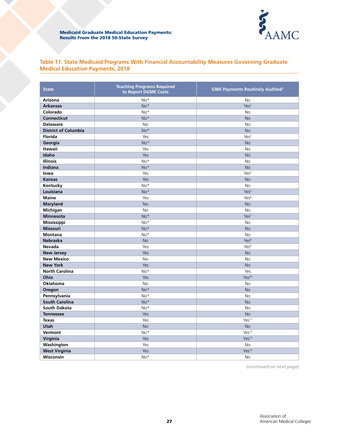

# **Table 11. State Medicaid Programs With Financial Accountability Measures Governing Graduate Medical Education Payments, 2018**

| <b>State</b>                | <b>Teaching Programs Required</b><br>to Report DGME Costs | <b>GME Payments Routinely Audited<sup>1</sup></b> |  |
|-----------------------------|-----------------------------------------------------------|---------------------------------------------------|--|
| Arizona                     | No*                                                       | <b>No</b>                                         |  |
| <b>Arkansas</b>             | No*                                                       | Yes <sup>2</sup>                                  |  |
| Colorado                    | No*                                                       | <b>No</b>                                         |  |
| <b>Connecticut</b>          | No*                                                       | <b>No</b>                                         |  |
| <b>Delaware</b>             | No                                                        | <b>No</b>                                         |  |
| <b>District of Columbia</b> | No*                                                       | <b>No</b>                                         |  |
| Florida                     | Yes                                                       | Yes <sup>3</sup>                                  |  |
| Georgia                     | No*                                                       | <b>No</b>                                         |  |
| Hawaii                      | Yes                                                       | <b>No</b>                                         |  |
| Idaho                       | Yes                                                       | <b>No</b>                                         |  |
| <b>Illinois</b>             | No*                                                       | <b>No</b>                                         |  |
| Indiana                     | No*                                                       | <b>No</b>                                         |  |
| lowa                        | Yes                                                       | Yes <sup>4</sup>                                  |  |
| <b>Kansas</b>               | Yes                                                       | <b>No</b>                                         |  |
| Kentucky                    | No*                                                       | <b>No</b>                                         |  |
| Louisiana                   | $No*$                                                     | Yes <sup>5</sup>                                  |  |
| <b>Maine</b>                | Yes                                                       | Yes <sup>6</sup>                                  |  |
| <b>Maryland</b>             | <b>No</b>                                                 | <b>No</b>                                         |  |
| Michigan                    | <b>No</b>                                                 | <b>No</b>                                         |  |
| <b>Minnesota</b>            | No*                                                       | Yes <sup>7</sup>                                  |  |
| Mississippi                 | $No*$                                                     | <b>No</b>                                         |  |
| <b>Missouri</b>             | No*                                                       | <b>No</b>                                         |  |
| <b>Montana</b>              | No*                                                       | <b>No</b>                                         |  |
| <b>Nebraska</b>             | <b>No</b>                                                 | Yes <sup>8</sup>                                  |  |
| <b>Nevada</b>               | Yes                                                       | Yes <sup>9</sup>                                  |  |
| <b>New Jersey</b>           | Yes                                                       | <b>No</b>                                         |  |
| <b>New Mexico</b>           | No                                                        | No                                                |  |
| <b>New York</b>             | Yes                                                       | <b>No</b>                                         |  |
| <b>North Carolina</b>       | No*                                                       | Yes                                               |  |
| Ohio                        | Yes                                                       | Yes <sup>10</sup>                                 |  |
| Oklahoma                    | <b>No</b>                                                 | <b>No</b>                                         |  |
| Oregon                      | No*                                                       | <b>No</b>                                         |  |
| Pennsylvania                | No*                                                       | <b>No</b>                                         |  |
| <b>South Carolina</b>       | No*                                                       | <b>No</b>                                         |  |
| <b>South Dakota</b>         | No*                                                       | <b>No</b>                                         |  |
| <b>Tennessee</b>            | Yes                                                       | <b>No</b>                                         |  |
| <b>Texas</b>                | Yes                                                       | Yes <sup>11</sup>                                 |  |
| <b>Utah</b>                 | <b>No</b>                                                 | <b>No</b>                                         |  |
| Vermont                     | No*                                                       | Yes <sup>12</sup>                                 |  |
| Virginia                    | Yes                                                       | Yes <sup>13</sup>                                 |  |
| Washington                  | Yes                                                       | <b>No</b>                                         |  |
| <b>West Virginia</b>        | Yes                                                       | Yes <sup>14</sup>                                 |  |
| Wisconsin                   | No*                                                       | <b>No</b>                                         |  |

*(continued on next page)*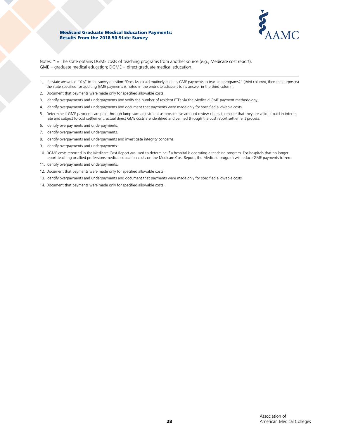

Notes: \* = The state obtains DGME costs of teaching programs from another source (e.g., Medicare cost report). GME = graduate medical education; DGME = direct graduate medical education.

- 1. If a state answered "Yes" to the survey question "Does Medicaid routinely audit its GME payments to teaching programs?" (third column), then the purpose(s) the state specified for auditing GME payments is noted in the endnote adjacent to its answer in the third column.
- 2. Document that payments were made only for specified allowable costs.
- 3. Identify overpayments and underpayments and verify the number of resident FTEs via the Medicaid GME payment methodology.
- 4. Identify overpayments and underpayments and document that payments were made only for specified allowable costs.
- 5. Determine if GME payments are paid through lump sum adjustment as prospective amount review claims to ensure that they are valid. If paid in interim rate and subject to cost settlement, actual direct GME costs are identified and verified through the cost report settlement process.
- 6. Identify overpayments and underpayments.
- 7. Identify overpayments and underpayments.
- 8. Identify overpayments and underpayments and investigate integrity concerns.
- 9. Identify overpayments and underpayments.
- 10. DGME costs reported in the Medicare Cost Report are used to determine if a hospital is operating a teaching program. For hospitals that no longer report teaching or allied professions medical education costs on the Medicare Cost Report, the Medicaid program will reduce GME payments to zero.
- 11. Identify overpayments and underpayments.
- 12. Document that payments were made only for specified allowable costs.
- 13. Identify overpayments and underpayments and document that payments were made only for specified allowable costs.
- 14. Document that payments were made only for specified allowable costs.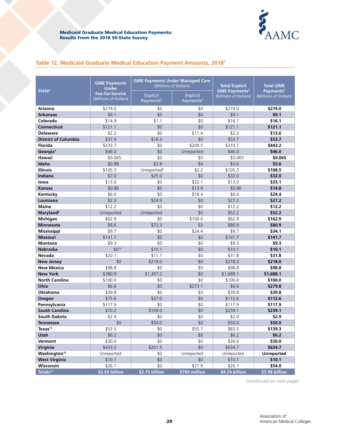

# **Table 12. Medicaid Graduate Medical Education Payment Amounts, 20181**

| State <sup>2</sup>           | <b>GME Payments</b><br><b>Under</b>             | (Millions of Dollars)                    | <b>GME Payments Under Managed Care</b> | <b>Total Explicit</b><br><b>GME Payments<sup>3</sup></b> | <b>Total GME</b><br>Payments <sup>4</sup> |
|------------------------------|-------------------------------------------------|------------------------------------------|----------------------------------------|----------------------------------------------------------|-------------------------------------------|
|                              | <b>Fee-for-Service</b><br>(Millions of Dollars) | <b>Explicit</b><br>Payments <sup>5</sup> | Implicit<br>Payments <sup>6</sup>      | (Millions of Dollars)                                    | (Millions of Dollars)                     |
| Arizona                      | \$274.0                                         | \$0                                      | \$0                                    | \$274.0                                                  | \$274.0                                   |
| <b>Arkansas</b>              | \$9.1                                           | \$0                                      | \$0                                    | \$9.1                                                    | \$9.1                                     |
| Colorado                     | \$14.9                                          | \$1.1                                    | \$0                                    | \$16.1                                                   | \$16.1                                    |
| <b>Connecticut</b>           | \$121.1                                         | \$0                                      | \$0                                    | \$121.1                                                  | \$121.1                                   |
| <b>Delaware</b>              | \$2.2                                           | \$0                                      | \$11.4                                 | \$2.2                                                    | \$13.6                                    |
| <b>District of Columbia</b>  | \$37.4                                          | \$16.3                                   | \$0                                    | \$53.7                                                   | \$53.7                                    |
| <b>Florida</b>               | \$233.7                                         | \$0                                      | \$209.5                                | \$233.7                                                  | \$443.2                                   |
| Georgia <sup>7</sup>         | \$46.0                                          | \$0                                      | Unreported                             | \$46.0                                                   | \$46.0                                    |
| Hawaii                       | \$0.065                                         | \$0                                      | \$0                                    | \$0.065                                                  | \$0.065                                   |
| Idaho                        | \$0.88                                          | \$2.8                                    | \$0                                    | \$3.6                                                    | \$3.6                                     |
| <b>Illinois</b>              | \$105.3                                         | Unreported <sup>8</sup>                  | \$3.2                                  | \$105.3                                                  | \$108.5                                   |
| Indiana                      | \$7.0                                           | \$25.0                                   | \$0                                    | \$32.0                                                   | \$32.0                                    |
| lowa                         | \$13.0                                          | \$0                                      | \$22.1                                 | \$13.0                                                   | \$35.1                                    |
| <b>Kansas</b>                | \$0.86                                          | \$0                                      | \$13.9                                 | \$0.86                                                   | \$14.8                                    |
| Kentucky                     | \$6.0                                           | \$0                                      | \$18.4                                 | \$6.0                                                    | \$24.4                                    |
| Louisiana                    | \$2.3                                           | \$24.9                                   | \$0                                    | \$27.2                                                   | \$27.2                                    |
| <b>Maine</b>                 | \$12.2                                          | \$0                                      | \$0                                    | \$12.2                                                   | \$12.2                                    |
| <b>Maryland</b> <sup>9</sup> | Unreported                                      | Unreported                               | \$0                                    | \$52.2                                                   | \$52.2                                    |
| Michigan                     | \$62.9                                          | \$0                                      | \$100.0                                | \$62.9                                                   | \$162.9                                   |
| <b>Minnesota</b>             | \$8.6                                           | \$72.3                                   | \$0                                    | \$80.9                                                   | \$80.9                                    |
| Mississippi                  | \$9.7                                           | \$0                                      | \$24.4                                 | \$9.7                                                    | \$34.1                                    |
| <b>Missouri</b>              | \$141.7                                         | \$0                                      | \$0                                    | \$141.7                                                  | \$141.7                                   |
| <b>Montana</b>               | \$9.3                                           | \$0                                      | \$0                                    | \$9.3                                                    | \$9.3                                     |
| <b>Nebraska</b>              | $$0^{10}$                                       | \$10.1                                   | \$0                                    | \$10.1                                                   | \$10.1                                    |
| <b>Nevada</b>                | \$20.1                                          | \$11.7                                   | \$0                                    | \$31.8                                                   | \$31.8                                    |
| <b>New Jersey</b>            | \$0                                             | \$218.0                                  | \$0                                    | \$218.0                                                  | \$218.0                                   |
| <b>New Mexico</b>            | \$98.8                                          | \$0                                      | \$0                                    | \$98.8                                                   | \$98.8                                    |
| <b>New York</b>              | \$380.9                                         | \$1,307.2                                | \$0                                    | \$1,688.1                                                | \$1,688.1                                 |
| <b>North Carolina</b>        | \$100.0                                         | \$0                                      | \$0                                    | \$100.0                                                  | \$100.0                                   |
| Ohio                         | \$6.6                                           | \$0                                      | \$273.1                                | \$6.6                                                    | \$279.8                                   |
| Oklahoma                     | \$39.8                                          | \$0                                      | \$0                                    | \$39.8                                                   | \$39.8                                    |
| Oregon                       | \$75.6                                          | \$37.0                                   | \$0                                    | \$112.6                                                  | \$112.6                                   |
| Pennsylvania                 | \$117.9                                         | \$0                                      | \$0                                    | \$117.9                                                  | \$117.9                                   |
| <b>South Carolina</b>        | \$70.2                                          | \$169.0                                  | \$0                                    | \$239.1                                                  | \$239.1                                   |
| <b>South Dakota</b>          | \$2.9                                           | \$0                                      | \$0                                    | \$2.9                                                    | \$2.9                                     |
| <b>Tennessee</b>             | \$0                                             | \$50.0                                   | \$0                                    | \$50.0                                                   | \$50.0                                    |
| $T$ exas <sup>11</sup>       | \$53.5                                          | \$0                                      | \$55.7                                 | \$83.5                                                   | \$139.3                                   |
| Utah                         | \$6.2                                           | \$0                                      | \$0                                    | \$6.2                                                    | \$6.2                                     |
| Vermont                      | \$30.0                                          | \$0                                      | \$0                                    | \$30.0                                                   | \$30.0                                    |
| Virginia                     | \$433.2                                         | \$201.5                                  | \$0                                    | \$634.7                                                  | \$634.7                                   |
| Washington <sup>12</sup>     | Unreported                                      | \$0                                      | Unreported                             | Unreported                                               | <b>Unreported</b>                         |
| <b>West Virginia</b>         | \$10.1                                          | \$0                                      | \$0                                    | \$10.1                                                   | \$10.1                                    |
| Wisconsin                    | \$26.1                                          | \$0                                      | \$27.9                                 | \$26.1                                                   | \$54.0                                    |
| Totals <sup>13</sup>         | \$2.59 billion                                  | \$2.15 billion                           | \$760 million                          | \$4.74 billion                                           | \$5.58 billion                            |

*(continued on next page)*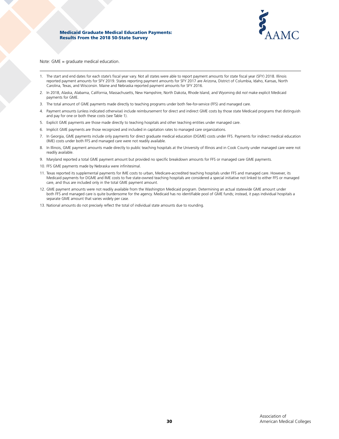

Note: GME = graduate medical education.

- 1. The start and end dates for each state's fiscal year vary. Not all states were able to report payment amounts for state fiscal year (SFY) 2018. Illinois reported payment amounts for SFY 2019. States reporting payment amounts for SFY 2017 are Arizona, District of Columbia, Idaho, Kansas, North Carolina, Texas, and Wisconsin. Maine and Nebraska reported payment amounts for SFY 2016.
- 2. In 2018, Alaska, Alabama, California, Massachusetts, New Hampshire, North Dakota, Rhode Island, and Wyoming did *not* make explicit Medicaid payments for GME.
- 3. The total amount of GME payments made directly to teaching programs under both fee-for-service (FFS) and managed care.
- 4. Payment amounts (unless indicated otherwise) include reimbursement for direct and indirect GME costs by those state Medicaid programs that distinguish and pay for one or both these costs (see Table 1).
- 5. Explicit GME payments are those made directly to teaching hospitals and other teaching entities under managed care.
- 6. Implicit GME payments are those recognized and included in capitation rates to managed care organizations.
- 7. In Georgia, GME payments include only payments for direct graduate medical education (DGME) costs under FFS. Payments for indirect medical education (IME) costs under both FFS and managed care were not readily available.
- 8. In Illinois, GME payment amounts made directly to public teaching hospitals at the University of Illinois and in Cook County under managed care were not readily available.
- 9. Maryland reported a total GME payment amount but provided no specific breakdown amounts for FFS or managed care GME payments.
- 10. FFS GME payments made by Nebraska were infinitesimal.
- 11. Texas reported its supplemental payments for IME costs to urban, Medicare-accredited teaching hospitals under FFS and managed care. However, its Medicaid payments for DGME and IME costs to five state-owned teaching hospitals are considered a special initiative not linked to either FFS or managed care, and thus are included only in the total GME payment amount.
- 12. GME payment amounts were not readily available from the Washington Medicaid program. Determining an actual statewide GME amount under both FFS and managed care is quite burdensome for the agency. Medicaid has no identifiable pool of GME funds; instead, it pays individual hospitals a separate GME amount that varies widely per case.
- 13. National amounts do not precisely reflect the total of individual state amounts due to rounding.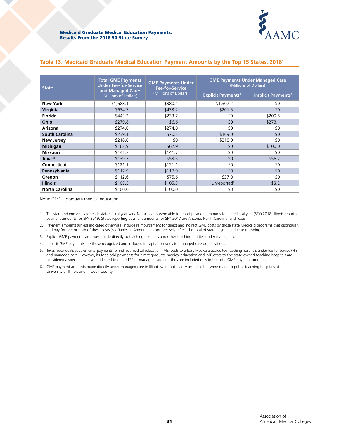

| <b>State</b>          | <b>Total GME Payments</b><br><b>Under Fee-for-Service</b> | <b>GME Payments Under</b><br><b>Fee-for-Service</b> | <b>GME Payments Under Managed Care</b><br>(Millions of Dollars) |                           |  |
|-----------------------|-----------------------------------------------------------|-----------------------------------------------------|-----------------------------------------------------------------|---------------------------|--|
|                       | and Managed Care <sup>2</sup><br>(Millions of Dollars)    | (Millions of Dollars)                               | <b>Explicit Payments<sup>3</sup></b>                            | <b>Implicit Payments4</b> |  |
| <b>New York</b>       | \$1,688.1                                                 | \$380.1                                             | \$1,307.2                                                       | \$0                       |  |
| Virginia              | \$634.7                                                   | \$433.2                                             | \$201.5                                                         | \$0                       |  |
| <b>Florida</b>        | \$443.2                                                   | \$233.7                                             | \$0                                                             | \$209.5                   |  |
| Ohio                  | \$279.8                                                   | \$6.6                                               | \$0                                                             | \$273.1                   |  |
| <b>Arizona</b>        | \$274.0                                                   | \$274.0                                             | \$0                                                             | \$0                       |  |
| <b>South Carolina</b> | \$239.1                                                   | \$70.2                                              | \$169.0                                                         | \$0                       |  |
| <b>New Jersey</b>     | \$218.0                                                   | \$0                                                 | \$218.0                                                         | \$0                       |  |
| <b>Michigan</b>       | \$162.9                                                   | \$62.9                                              | \$0                                                             | \$100.0                   |  |
| <b>Missouri</b>       | \$141.7                                                   | \$141.7                                             | \$0                                                             | \$0                       |  |
| Texas <sup>5</sup>    | \$139.3                                                   | \$53.5                                              | \$0                                                             | \$55.7                    |  |
| Connecticut           | \$121.1                                                   | \$121.1                                             | \$0                                                             | \$0                       |  |
| Pennsylvania          | \$117.9                                                   | \$117.9                                             | \$0                                                             | \$0                       |  |
| Oregon                | \$112.6                                                   | \$75.6                                              | \$37.0                                                          | \$0                       |  |
| <b>Illinois</b>       | \$108.5                                                   | \$105.3                                             | Unreported <sup>6</sup>                                         | \$3.2                     |  |
| <b>North Carolina</b> | \$100.0                                                   | \$100.0                                             | \$0                                                             | \$0                       |  |

### **Table 13. Medicaid Graduate Medical Education Payment Amounts by the Top 15 States, 20181**

Note: GME = graduate medical education.

1. The start and end dates for each state's fiscal year vary. Not all states were able to report payment amounts for state fiscal year (SFY) 2018. Illinois reported payment amounts for SFY 2019. States reporting payment amounts for SFY 2017 are Arizona, North Carolina, and Texas.

2. Payment amounts (unless indicated otherwise) include reimbursement for direct and indirect GME costs by those state Medicaid programs that distinguish and pay for one or both of these costs (see Table 1). Amounts do not precisely reflect the total of state payments due to rounding.

3. Explicit GME payments are those made directly to teaching hospitals and other teaching entities under managed care.

4. Implicit GME payments are those recognized and included in capitation rates to managed care organizations.

5. Texas reported its supplemental payments for indirect medical education (IME) costs to urban, Medicare-accredited teaching hospitals under fee-for-service (FFS) and managed care. However, its Medicaid payments for direct graduate medical education and IME costs to five state-owned teaching hospitals are considered a special initiative not linked to either FFS or managed care and thus are included only in the total GME payment amount.

6. GME payment amounts made directly under managed care in Illinois were not readily available but were made to public teaching hospitals at the University of Illinois and in Cook County.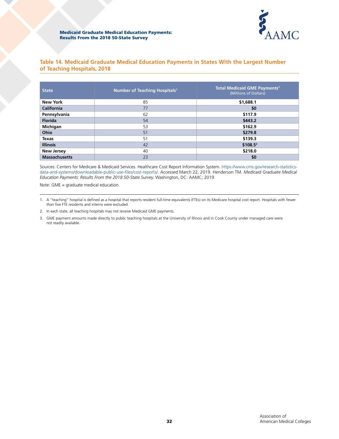

# **Table 14. Medicaid Graduate Medical Education Payments in States With the Largest Number of Teaching Hospitals, 2018**

| <b>State</b>         | Number of Teaching Hospitals <sup>1</sup> | Total Medicaid GME Payments <sup>2</sup><br>(Millions of Dollars) |
|----------------------|-------------------------------------------|-------------------------------------------------------------------|
| New York             | 85                                        | \$1,688.1                                                         |
| California           | 77                                        | \$0                                                               |
| Pennsylvania         | 62                                        | \$117.9                                                           |
| <b>Florida</b>       | 54                                        | \$443.2                                                           |
| Michigan             | 53                                        | \$162.9                                                           |
| Ohio                 | 51                                        | \$279.8                                                           |
| <b>Texas</b>         | 51                                        | \$139.3                                                           |
| <b>Illinois</b>      | 42                                        | $$108.5^3$                                                        |
| <b>New Jersey</b>    | 40                                        | \$218.0                                                           |
| <b>Massachusetts</b> | 23                                        | \$0                                                               |

Sources: Centers for Medicare & Medicaid Services. Healthcare Cost Report Information System. [https://www.cms.gov/research-statistics](https://www.cms.gov/research-statistics-data-and-systems/downloadable-public-use-files/cost-reports/)[data-and-systems/downloadable-public-use-files/cost-reports/](https://www.cms.gov/research-statistics-data-and-systems/downloadable-public-use-files/cost-reports/). Accessed March 22, 2019. Henderson TM. *Medicaid Graduate Medical Education Payments: Results From the 2018 50-State Survey.* Washington, DC: AAMC; 2019.

Note: GME = graduate medical education.

1. A "teaching" hospital is defined as a hospital that reports resident full-time equivalents (FTEs) on its Medicare hospital cost report. Hospitals with fewer than five FTE residents and interns were excluded.

2. In each state, all teaching hospitals may not receive Medicaid GME payments.

3. GME payment amounts made directly to public teaching hospitals at the University of Illinois and in Cook County under managed care were not readily available.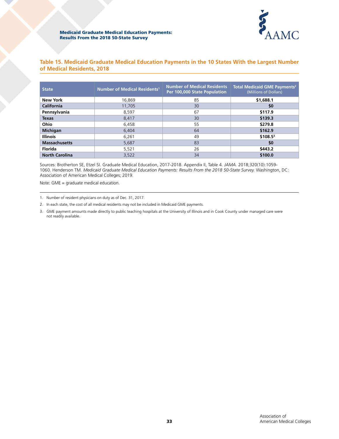

| Table 15. Medicaid Graduate Medical Education Payments in the 10 States With the Largest Number |  |  |  |  |
|-------------------------------------------------------------------------------------------------|--|--|--|--|
| of Medical Residents, 2018                                                                      |  |  |  |  |

| <b>State</b>          | <b>Number of Medical Residents<sup>1</sup></b> | <b>Number of Medical Residents</b><br>Per 100,000 State Population | <b>Total Medicaid GME Payments<sup>2</sup></b><br>(Millions of Dollars) |
|-----------------------|------------------------------------------------|--------------------------------------------------------------------|-------------------------------------------------------------------------|
| <b>New York</b>       | 16,869                                         | 85                                                                 | \$1,688.1                                                               |
| California            | 11,705                                         | 30                                                                 | \$0                                                                     |
| Pennsylvania          | 8,597                                          | 67                                                                 | \$117.9                                                                 |
| <b>Texas</b>          | 8,417                                          | 30                                                                 | \$139.3                                                                 |
| <b>Ohio</b>           | 6,458                                          | 55                                                                 | \$279.8                                                                 |
| <b>Michigan</b>       | 6.404                                          | 64                                                                 | \$162.9                                                                 |
| <b>Illinois</b>       | 6.261                                          | 49                                                                 | $$108.5^3$                                                              |
| <b>Massachusetts</b>  | 5.687                                          | 83                                                                 | \$0                                                                     |
| Florida               | 5,521                                          | 26                                                                 | \$443.2                                                                 |
| <b>North Carolina</b> | 3,522                                          | 34                                                                 | \$100.0                                                                 |

Sources: Brotherton SE, Etzel SI. Graduate Medical Education, 2017-2018. Appendix II, Table 4. *JAMA.* 2018;320(10):1059- 1060. Henderson TM. *Medicaid Graduate Medical Education Payments: Results From the 2018 50-State Survey.* Washington, DC: Association of American Medical Colleges; 2019.

Note: GME = graduate medical education.

<sup>1.</sup> Number of resident physicians on duty as of Dec. 31, 2017.

<sup>2.</sup> In each state, the cost of all medical residents may not be included in Medicaid GME payments.

<sup>3.</sup> GME payment amounts made directly to public teaching hospitals at the University of Illinois and in Cook County under managed care were not readily available.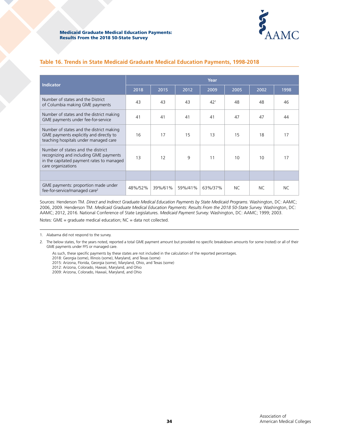

### **Table 16. Trends in State Medicaid Graduate Medical Education Payments, 1998-2018**

|                                                                                                                                                | Year    |         |         |                 |      |      |           |  |  |
|------------------------------------------------------------------------------------------------------------------------------------------------|---------|---------|---------|-----------------|------|------|-----------|--|--|
| <b>Indicator</b>                                                                                                                               | 2018    | 2015    | 2012    | 2009            | 2005 | 2002 | 1998      |  |  |
| Number of states and the District<br>of Columbia making GME payments                                                                           | 43      | 43      | 43      | 42 <sup>1</sup> | 48   | 48   | 46        |  |  |
| Number of states and the district making<br>GME payments under fee-for-service                                                                 | 41      | 41      | 41      | 41              | 47   | 47   | 44        |  |  |
| Number of states and the district making<br>GME payments explicitly and directly to<br>teaching hospitals under managed care                   | 16      | 17      | 15      | 13              | 15   | 18   | 17        |  |  |
| Number of states and the district<br>recognizing and including GME payments<br>in the capitated payment rates to managed<br>care organizations | 13      | 12      | 9       | 11              | 10   | 10   | 17        |  |  |
|                                                                                                                                                |         |         |         |                 |      |      |           |  |  |
| GME payments: proportion made under<br>fee-for-service/managed care <sup>2</sup>                                                               | 48%/52% | 39%/61% | 59%/41% | 63%/37%         | NC.  | NC.  | <b>NC</b> |  |  |

Sources: Henderson TM. *Direct and Indirect Graduate Medical Education Payments by State Medicaid Programs.* Washington, DC: AAMC; 2006, 2009. Henderson TM. *Medicaid Graduate Medical Education Payments: Results From the 2018 50-State Survey.* Washington, DC: AAMC; 2012, 2016. National Conference of State Legislatures. *Medicaid Payment Survey.* Washington, DC: AAMC; 1999; 2003.

Notes: GME = graduate medical education; NC = data not collected.

2018: Georgia (some), Illinois (some), Maryland, and Texas (some)

- 2015: Arizona, Florida, Georgia (some), Maryland, Ohio, and Texas (some)
- 2012: Arizona, Colorado, Hawaii, Maryland, and Ohio
- 2009: Arizona, Colorado, Hawaii, Maryland, and Ohio

<sup>1.</sup> Alabama did not respond to the survey.

<sup>2.</sup> The below states, for the years noted, reported a total GME payment amount but provided no specific breakdown amounts for some (noted) or all of their GME payments under FFS or managed care.

As such, these specific payments by these states are not included in the calculation of the reported percentages.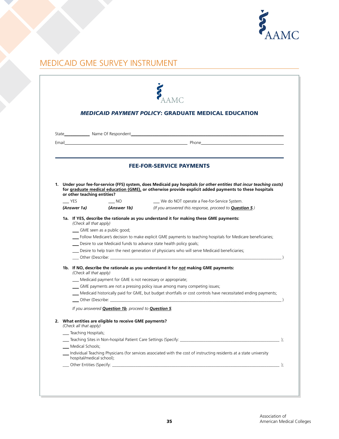

# MEDICAID GME SURVEY INSTRUMENT

|            |                                                                                                   |                                                                     | <b>MEDICAID PAYMENT POLICY: GRADUATE MEDICAL EDUCATION</b>                                                                                                                                                                                                                                                                                                                           |
|------------|---------------------------------------------------------------------------------------------------|---------------------------------------------------------------------|--------------------------------------------------------------------------------------------------------------------------------------------------------------------------------------------------------------------------------------------------------------------------------------------------------------------------------------------------------------------------------------|
|            |                                                                                                   |                                                                     |                                                                                                                                                                                                                                                                                                                                                                                      |
|            |                                                                                                   |                                                                     |                                                                                                                                                                                                                                                                                                                                                                                      |
|            |                                                                                                   |                                                                     | <b>FEE-FOR-SERVICE PAYMENTS</b>                                                                                                                                                                                                                                                                                                                                                      |
|            | or other teaching entities?                                                                       |                                                                     | 1. Under your fee-for-service (FFS) system, does Medicaid pay hospitals (or other entities that incur teaching costs)<br>for graduate medical education (GME), or otherwise provide explicit added payments to these hospitals                                                                                                                                                       |
| <b>YES</b> |                                                                                                   | NO                                                                  | We do NOT operate a Fee-for-Service System.                                                                                                                                                                                                                                                                                                                                          |
|            |                                                                                                   | (Answer 1a) (Answer 1b)                                             | (If you answered this response, proceed to <b>Question 5</b> .)                                                                                                                                                                                                                                                                                                                      |
|            | (Check all that apply)                                                                            | __ GME seen as a public good;                                       | 1a. If YES, describe the rationale as you understand it for making these GME payments:<br>__ Follow Medicare's decision to make explicit GME payments to teaching hospitals for Medicare beneficiaries;<br>__ Desire to use Medicaid funds to advance state health policy goals;<br>__ Desire to help train the next generation of physicians who will serve Medicaid beneficiaries; |
|            | (Check all that apply)                                                                            | __ Medicaid payment for GME is not necessary or appropriate;        | 1b. If NO, describe the rationale as you understand it for not making GME payments:<br>__ Medicaid historically paid for GME, but budget shortfalls or cost controls have necessitated ending payments;                                                                                                                                                                              |
|            |                                                                                                   | If you answered <b>Question 1b</b> , proceed to <b>Question 5</b> . |                                                                                                                                                                                                                                                                                                                                                                                      |
|            | (Check all that apply)<br>__ Teaching Hospitals;<br>Medical Schools;<br>hospital/medical school): | What entities are eligible to receive GME payments?                 | Individual Teaching Physicians (for services associated with the cost of instructing residents at a state university                                                                                                                                                                                                                                                                 |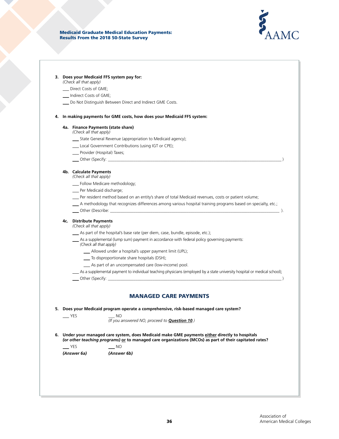

#### **3. Does your Medicaid FFS system pay for:**

*(Check all that apply)*

- \_\_\_ Direct Costs of GME;
- \_\_\_ Indirect Costs of GME;
- \_\_\_ Do Not Distinguish Between Direct and Indirect GME Costs.

#### **4. In making payments for GME costs, how does your Medicaid FFS system:**

#### **4a. Finance Payments (state share)**

- *(Check all that apply)*
	- \_\_\_ State General Revenue (appropriation to Medicaid agency);
	- \_\_\_ Local Government Contributions (using IGT or CPE);
	- \_\_\_ Provider (Hospital) Taxes;
	- \_\_\_ Other (Specify: \_\_\_\_\_\_\_\_\_\_\_\_\_\_\_\_\_\_\_\_\_\_\_\_\_\_\_\_\_\_\_\_\_\_\_\_\_\_\_\_\_\_\_\_\_\_\_\_\_\_\_\_\_\_\_\_\_\_\_\_\_\_\_\_\_\_\_\_\_\_\_\_\_\_\_\_\_\_\_\_\_\_ )

#### **4b. Calculate Payments**

*( Check all that apply)*

- \_\_\_ Follow Medicare methodology;
- \_\_\_ Per Medicaid discharge;
- \_\_\_ Per resident method based on an entity's share of total Medicaid revenues, costs or patient volume;
- \_\_\_ A methodology that recognizes differences among various hospital training programs based on specialty, etc.;
- \_\_\_ Other (Describe: \_\_\_\_\_\_\_\_\_\_\_\_\_\_\_\_\_\_\_\_\_\_\_\_\_\_\_\_\_\_\_\_\_\_\_\_\_\_\_\_\_\_\_\_\_\_\_\_\_\_\_\_\_\_\_\_\_\_\_\_\_\_\_\_\_\_\_\_\_\_\_\_\_\_\_\_\_\_\_\_ ).

#### **4c. Distribute Payments** *( Check all that apply)*

- \_\_\_ As part of the hospital's base rate (per diem, case, bundle, episode, etc.);
- \_\_\_ As a supplemental (lump sum) payment in accordance with federal policy governing payments:
	- *(Check all that apply)*
		- \_\_\_ Allowed under a hospital's upper payment limit (UPL);
		- \_\_\_ To disproportionate share hospitals (DSH);
		- \_\_\_ As part of an uncompensated care (low-income) pool.
	- \_\_\_ As a supplemental payment to individual teaching physicians (employed by a s tate university hospital or medical school);
- Other (Specify:

### MANAGED CARE PAYMENTS

**5. Does your Medicaid program operate a comprehensive, risk-based managed care system?**

\_\_\_ YES \_\_\_ NO

*(If you answered NO, proceed to Question 10.)*

**6. Under your managed care system, does Medicaid make GME payments either directly to hospitals**  *(or other teaching programs)* **or to managed care organizations (MCOs) as part of their capitated rates?** 

\_\_\_ YES \_\_\_ NO

*(Answer 6a) (Answer 6b)*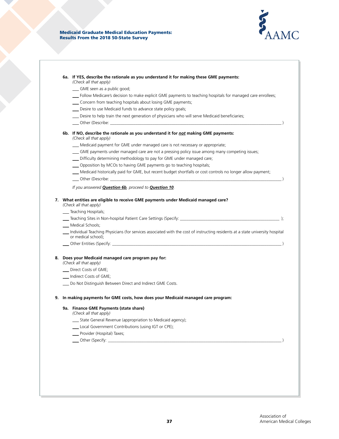

|    | (Check all that apply)<br>__ GME seen as a public good;                                                                                              |
|----|------------------------------------------------------------------------------------------------------------------------------------------------------|
|    | __ Follow Medicare's decision to make explicit GME payments to teaching hospitals for managed care enrollees;                                        |
|    | __ Concern from teaching hospitals about losing GME payments;                                                                                        |
|    | __ Desire to use Medicaid funds to advance state policy goals;                                                                                       |
|    | __ Desire to help train the next generation of physicians who will serve Medicaid beneficiaries;                                                     |
|    |                                                                                                                                                      |
|    | 6b. If NO, describe the rationale as you understand it for not making GME payments:<br>(Check all that apply)                                        |
|    | __ Medicaid payment for GME under managed care is not necessary or appropriate;                                                                      |
|    | __ GME payments under managed care are not a pressing policy issue among many competing issues;                                                      |
|    | __ Difficulty determining methodology to pay for GME under managed care;                                                                             |
|    | __ Opposition by MCOs to having GME payments go to teaching hospitals;                                                                               |
|    | __ Medicaid historically paid for GME, but recent budget shortfalls or cost controls no longer allow payment;                                        |
|    |                                                                                                                                                      |
|    | If you answered <b>Question 6b</b> , proceed to <b>Question 10</b> .                                                                                 |
|    | 7. What entities are eligible to receive GME payments under Medicaid managed care?                                                                   |
|    | (Check all that apply)                                                                                                                               |
|    | __ Teaching Hospitals;                                                                                                                               |
|    |                                                                                                                                                      |
|    | __ Medical Schools;                                                                                                                                  |
|    | Individual Teaching Physicians (for services associated with the cost of instructing residents at a state university hospital<br>or medical school); |
|    |                                                                                                                                                      |
|    | 8. Does your Medicaid managed care program pay for:<br>(Check all that apply)                                                                        |
|    | __ Direct Costs of GME;                                                                                                                              |
|    | __ Indirect Costs of GME;                                                                                                                            |
|    | __ Do Not Distinguish Between Direct and Indirect GME Costs.                                                                                         |
|    |                                                                                                                                                      |
|    | In making payments for GME costs, how does your Medicaid managed care program:                                                                       |
|    | 9a. Finance GME Payments (state share)<br>(Check all that apply)                                                                                     |
|    | __ State General Revenue (appropriation to Medicaid agency);                                                                                         |
|    | __ Local Government Contributions (using IGT or CPE);                                                                                                |
|    | __ Provider (Hospital) Taxes;                                                                                                                        |
|    |                                                                                                                                                      |
|    |                                                                                                                                                      |
| 9. |                                                                                                                                                      |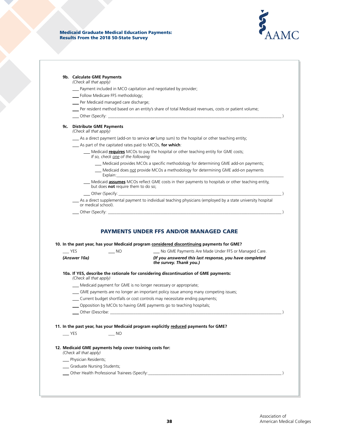

|  |  |  | 9b. Calculate GME Payments |
|--|--|--|----------------------------|
|--|--|--|----------------------------|

*(Check all that apply)*

- \_\_\_ Payment included in MCO capitation and negotiated by provider;
- \_\_\_ Follow Medicare FFS methodology;
- \_\_\_ Per Medicaid managed care discharge;
- \_\_\_ Per resident method based on an entity's share of total Medicaid revenues, costs or patient volume;
- \_\_\_\_ Other (Specify:

### **9c. Distribute GME Payments**

*(Check all that apply)*

- \_\_\_ As a direct payment (add-on to service *or* lump sum) to the hospital or other teaching entity;
- \_\_\_ As part of the capitated rates paid to MCOs, **for which**:
	- \_\_\_ Medicaid **requires** MCOs to pay the hospital or other teaching entity for GME costs;
	- *If so, check one of the following:*
		- \_\_\_ Medicaid provides MCOs a specifi c methodology for determining GME add-on payments;
		- \_Medicaid does not provide MCOs a methodology for determining GME add-on payments Explain:\_\_\_\_\_\_\_\_\_\_\_\_\_\_\_\_\_\_\_\_\_\_\_\_\_\_\_\_\_\_\_\_\_\_\_\_\_\_\_\_\_\_\_\_\_\_\_\_\_\_\_\_\_\_\_\_\_\_\_\_\_\_\_\_\_\_\_\_\_\_\_\_\_\_\_\_\_\_\_
	- \_\_\_ Medicaid **assumes** MCOs refl ect GME costs in their payments to hospitals or other teaching entity, but does **not** require them to do so;

\_\_\_ Other (Specify: \_\_\_\_\_\_\_\_\_\_\_\_\_\_\_\_\_\_\_\_\_\_\_\_\_\_\_\_\_\_\_\_\_\_\_\_\_\_\_\_\_\_\_\_\_\_\_\_\_\_\_\_\_\_\_\_\_\_\_\_\_\_\_\_\_\_\_\_\_\_\_\_\_\_\_\_\_ )

\_\_\_ As a direct supplemental payment to individual teaching physicians (employed by a state university hospital or medical school).

\_\_\_ Other (Specify: \_\_\_\_\_\_\_\_\_\_\_\_\_\_\_\_\_\_\_\_\_\_\_\_\_\_\_\_\_\_\_\_\_\_\_\_\_\_\_\_\_\_\_\_\_\_\_\_\_\_\_\_\_\_\_\_\_\_\_\_\_\_\_\_\_\_\_\_\_\_\_\_\_\_\_\_\_\_\_\_\_\_ )

### PAYMENTS UNDER FFS AND/OR MANAGED CARE

|                                                                                    |           | 10. In the past year, has your Medicaid program considered discontinuing payments for GME? |  |
|------------------------------------------------------------------------------------|-----------|--------------------------------------------------------------------------------------------|--|
| <b>YES</b>                                                                         | <b>NO</b> | No GME Payments Are Made Under FFS or Managed Care.                                        |  |
| (Answer 10a)                                                                       |           | (If you answered this last response, you have completed<br>the survey. Thank you.)         |  |
| (Check all that apply)                                                             |           | 10a. If YES, describe the rationale for considering discontinuation of GME payments:       |  |
|                                                                                    |           | Medicaid payment for GME is no longer necessary or appropriate;                            |  |
|                                                                                    |           | __ GME payments are no longer an important policy issue among many competing issues;       |  |
|                                                                                    |           | Current budget shortfalls or cost controls may necessitate ending payments;                |  |
|                                                                                    |           | Opposition by MCOs to having GME payments go to teaching hospitals;                        |  |
|                                                                                    |           |                                                                                            |  |
| <b>EXAMPLE</b>                                                                     | NO        | 11. In the past year, has your Medicaid program explicitly reduced payments for GME?       |  |
| 12. Medicaid GME payments help cover training costs for:<br>(Check all that apply) |           |                                                                                            |  |
| __ Physician Residents;                                                            |           |                                                                                            |  |
| __ Graduate Nursing Students;                                                      |           |                                                                                            |  |
|                                                                                    |           |                                                                                            |  |
|                                                                                    |           |                                                                                            |  |
|                                                                                    |           |                                                                                            |  |
|                                                                                    |           |                                                                                            |  |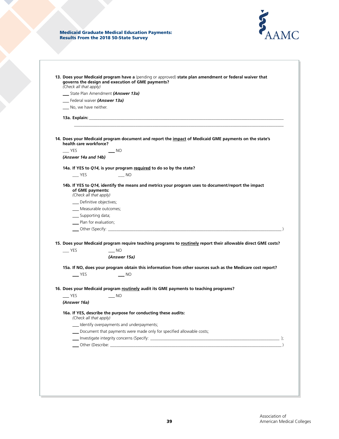

| (Check all that apply)                                                                                                    | 13. Does your Medicaid program have a (pending or approved) state plan amendment or federal waiver that<br>governs the design and execution of GME payments?  |  |
|---------------------------------------------------------------------------------------------------------------------------|---------------------------------------------------------------------------------------------------------------------------------------------------------------|--|
|                                                                                                                           | State Plan Amendment (Answer 13a)                                                                                                                             |  |
| Federal waiver (Answer 13a)                                                                                               |                                                                                                                                                               |  |
| __ No, we have neither.                                                                                                   |                                                                                                                                                               |  |
|                                                                                                                           |                                                                                                                                                               |  |
| health care workforce?                                                                                                    | 14. Does your Medicaid program document and report the impact of Medicaid GME payments on the state's                                                         |  |
| <b>YES</b>                                                                                                                | $\overline{\phantom{a}}$ NO                                                                                                                                   |  |
| (Answer 14a and 14b)                                                                                                      |                                                                                                                                                               |  |
|                                                                                                                           |                                                                                                                                                               |  |
|                                                                                                                           | 14a. If YES to Q14, is your program required to do so by the state?                                                                                           |  |
| $-$ YES                                                                                                                   | $\overline{\phantom{0}}$ NO                                                                                                                                   |  |
| of GME payments:<br>(Check all that apply)<br>__ Definitive objectives;<br>__ Supporting data;<br>__ Plan for evaluation; | __ Measurable outcomes;                                                                                                                                       |  |
| $\equiv$ YES                                                                                                              | 15. Does your Medicaid program require teaching programs to routinely report their allowable direct GME costs?<br>$\overline{\phantom{0}}$ NO<br>(Answer 15a) |  |
|                                                                                                                           |                                                                                                                                                               |  |
| $-$ YES                                                                                                                   | 15a. If NO, does your program obtain this information from other sources such as the Medicare cost report?<br>$\equiv$ NO                                     |  |
|                                                                                                                           |                                                                                                                                                               |  |
|                                                                                                                           | 16. Does your Medicaid program routinely audit its GME payments to teaching programs?                                                                         |  |
| <b>YES</b>                                                                                                                | $\overline{\phantom{0}}$ NO                                                                                                                                   |  |
| (Answer 16a)<br>(Check all that apply)                                                                                    | 16a. If YES, describe the purpose for conducting these audits:                                                                                                |  |
|                                                                                                                           | - Identify overpayments and underpayments;                                                                                                                    |  |
|                                                                                                                           | Document that payments were made only for specified allowable costs;                                                                                          |  |
|                                                                                                                           |                                                                                                                                                               |  |
|                                                                                                                           |                                                                                                                                                               |  |
|                                                                                                                           |                                                                                                                                                               |  |
|                                                                                                                           |                                                                                                                                                               |  |
|                                                                                                                           |                                                                                                                                                               |  |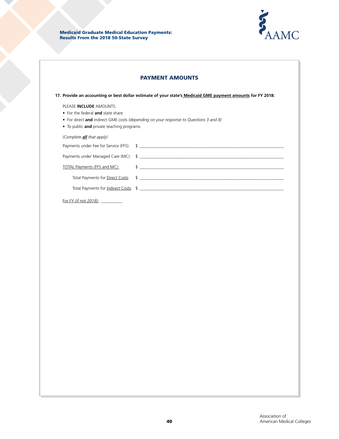

|                                                                                                            | <b>PAYMENT AMOUNTS</b>                                                                                                                                                                                                               |
|------------------------------------------------------------------------------------------------------------|--------------------------------------------------------------------------------------------------------------------------------------------------------------------------------------------------------------------------------------|
|                                                                                                            | 17. Provide an accounting or best dollar estimate of your state's Medicaid GME payment amounts for FY 2018:                                                                                                                          |
| PLEASE INCLUDE AMOUNTS:<br>• For the federal and state share<br>• To public and private teaching programs. | • For direct and indirect GME costs (depending on your response to Questions 3 and 8)                                                                                                                                                |
| (Complete <b>all</b> that apply)                                                                           |                                                                                                                                                                                                                                      |
|                                                                                                            |                                                                                                                                                                                                                                      |
| <b>TOTAL Payments (FFS and MC):</b>                                                                        | Payments under Managed Care (MC): \ \$<br>$\frac{1}{2}$                                                                                                                                                                              |
| Total Payments for Direct Costs                                                                            | $\frac{1}{2}$                                                                                                                                                                                                                        |
|                                                                                                            | Total Payments for <u>Indirect Costs</u> \$ \essential contact contact contact the contact of the contact of the contact of the contact of the contact of the contact of the contact of the contact of the contact of the contact of |
| For FY <i>(if not 2018):</i>                                                                               |                                                                                                                                                                                                                                      |